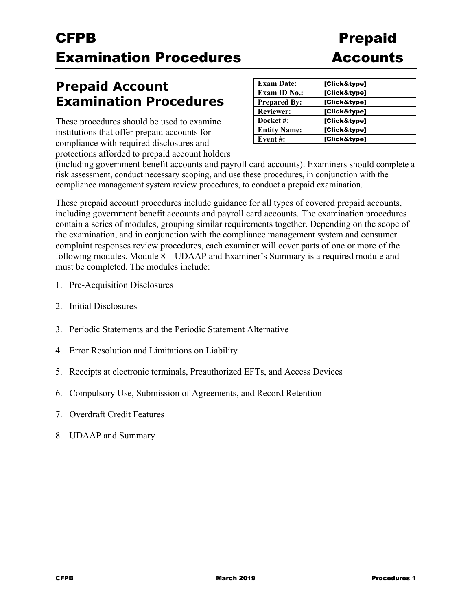## **Prepaid Account Examination Procedures**

These procedures should be used to examine institutions that offer prepaid accounts for compliance with required disclosures and protections afforded to prepaid account holders

| <b>Exam Date:</b>   | [Click&type] |
|---------------------|--------------|
| <b>Exam ID No.:</b> | [Click&type] |
| <b>Prepared By:</b> | [Click&type] |
| <b>Reviewer:</b>    | [Click&type] |
| Docket #:           | [Click&type] |
| <b>Entity Name:</b> | [Click&type] |
| Event#:             | [Click&type] |

(including government benefit accounts and payroll card accounts). Examiners should complete a risk assessment, conduct necessary scoping, and use these procedures, in conjunction with the compliance management system review procedures, to conduct a prepaid examination.

These prepaid account procedures include guidance for all types of covered prepaid accounts, including government benefit accounts and payroll card accounts. The examination procedures contain a series of modules, grouping similar requirements together. Depending on the scope of the examination, and in conjunction with the compliance management system and consumer complaint responses review procedures, each examiner will cover parts of one or more of the following modules. Module 8 – UDAAP and Examiner's Summary is a required module and must be completed. The modules include:

- 1. Pre-Acquisition Disclosures
- 2. Initial Disclosures
- 3. Periodic Statements and the Periodic Statement Alternative
- 4. Error Resolution and Limitations on Liability
- 5. Receipts at electronic terminals, Preauthorized EFTs, and Access Devices
- 6. Compulsory Use, Submission of Agreements, and Record Retention
- 7. Overdraft Credit Features
- 8. UDAAP and Summary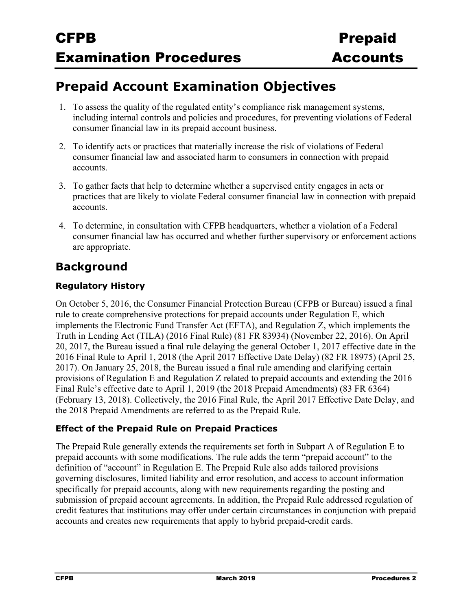## **Prepaid Account Examination Objectives**

- 1. To assess the quality of the regulated entity's compliance risk management systems, including internal controls and policies and procedures, for preventing violations of Federal consumer financial law in its prepaid account business.
- 2. To identify acts or practices that materially increase the risk of violations of Federal consumer financial law and associated harm to consumers in connection with prepaid accounts.
- 3. To gather facts that help to determine whether a supervised entity engages in acts or practices that are likely to violate Federal consumer financial law in connection with prepaid accounts.
- 4. To determine, in consultation with CFPB headquarters, whether a violation of a Federal consumer financial law has occurred and whether further supervisory or enforcement actions are appropriate.

### **Background**

### **Regulatory History**

On October 5, 2016, the Consumer Financial Protection Bureau (CFPB or Bureau) issued a final rule to create comprehensive protections for prepaid accounts under Regulation E, which implements the Electronic Fund Transfer Act (EFTA), and Regulation Z, which implements the Truth in Lending Act (TILA) (2016 Final Rule) (81 FR 83934) (November 22, 2016). On April 20, 2017, the Bureau issued a final rule delaying the general October 1, 2017 effective date in the 2016 Final Rule to April 1, 2018 (the April 2017 Effective Date Delay) (82 FR 18975) (April 25, 2017). On January 25, 2018, the Bureau issued a final rule amending and clarifying certain provisions of Regulation E and Regulation Z related to prepaid accounts and extending the 2016 Final Rule's effective date to April 1, 2019 (the 2018 Prepaid Amendments) (83 FR 6364) (February 13, 2018). Collectively, the 2016 Final Rule, the April 2017 Effective Date Delay, and the 2018 Prepaid Amendments are referred to as the Prepaid Rule.

### **Effect of the Prepaid Rule on Prepaid Practices**

The Prepaid Rule generally extends the requirements set forth in Subpart A of Regulation E to prepaid accounts with some modifications. The rule adds the term "prepaid account" to the definition of "account" in Regulation E. The Prepaid Rule also adds tailored provisions governing disclosures, limited liability and error resolution, and access to account information specifically for prepaid accounts, along with new requirements regarding the posting and submission of prepaid account agreements. In addition, the Prepaid Rule addressed regulation of credit features that institutions may offer under certain circumstances in conjunction with prepaid accounts and creates new requirements that apply to hybrid prepaid-credit cards.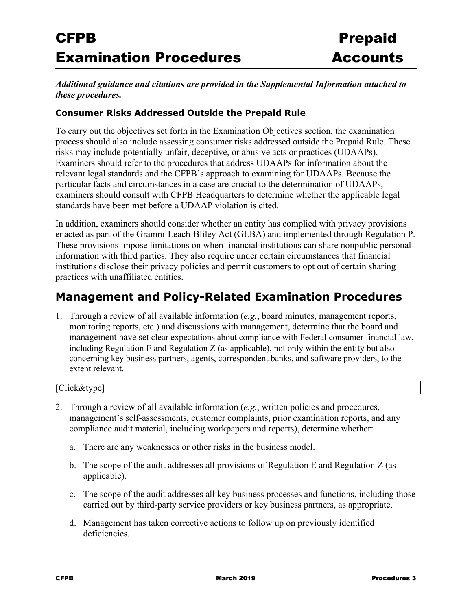#### *Additional guidance and citations are provided in the Supplemental Information attached to these procedures.*

### **Consumer Risks Addressed Outside the Prepaid Rule**

To carry out the objectives set forth in the Examination Objectives section, the examination process should also include assessing consumer risks addressed outside the Prepaid Rule. These risks may include potentially unfair, deceptive, or abusive acts or practices (UDAAPs). Examiners should refer to the procedures that address UDAAPs for information about the relevant legal standards and the CFPB's approach to examining for UDAAPs. Because the particular facts and circumstances in a case are crucial to the determination of UDAAPs, examiners should consult with CFPB Headquarters to determine whether the applicable legal standards have been met before a UDAAP violation is cited.

In addition, examiners should consider whether an entity has complied with privacy provisions enacted as part of the Gramm-Leach-Bliley Act (GLBA) and implemented through Regulation P. These provisions impose limitations on when financial institutions can share nonpublic personal information with third parties. They also require under certain circumstances that financial institutions disclose their privacy policies and permit customers to opt out of certain sharing practices with unaffiliated entities.

### **Management and Policy-Related Examination Procedures**

1. Through a review of all available information (*e.g.*, board minutes, management reports, monitoring reports, etc.) and discussions with management, determine that the board and management have set clear expectations about compliance with Federal consumer financial law, including Regulation E and Regulation Z (as applicable), not only within the entity but also concerning key business partners, agents, correspondent banks, and software providers, to the extent relevant.

#### [Click&type]

- 2. Through a review of all available information (*e.g.*, written policies and procedures, management's self-assessments, customer complaints, prior examination reports, and any compliance audit material, including workpapers and reports), determine whether:
	- a. There are any weaknesses or other risks in the business model.
	- b. The scope of the audit addresses all provisions of Regulation E and Regulation Z (as applicable).
	- c. The scope of the audit addresses all key business processes and functions, including those carried out by third-party service providers or key business partners, as appropriate.
	- d. Management has taken corrective actions to follow up on previously identified deficiencies.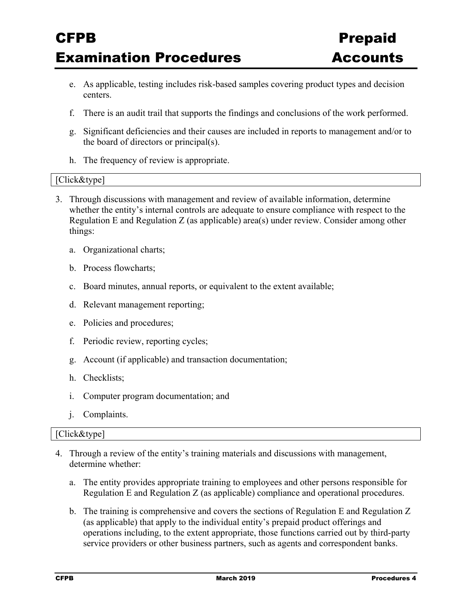- e. As applicable, testing includes risk-based samples covering product types and decision centers.
- f. There is an audit trail that supports the findings and conclusions of the work performed.
- g. Significant deficiencies and their causes are included in reports to management and/or to the board of directors or principal(s).
- h. The frequency of review is appropriate.

#### [Click&type]

- 3. Through discussions with management and review of available information, determine whether the entity's internal controls are adequate to ensure compliance with respect to the Regulation E and Regulation Z (as applicable) area(s) under review. Consider among other things:
	- a. Organizational charts;
	- b. Process flowcharts;
	- c. Board minutes, annual reports, or equivalent to the extent available;
	- d. Relevant management reporting;
	- e. Policies and procedures;
	- f. Periodic review, reporting cycles;
	- g. Account (if applicable) and transaction documentation;
	- h. Checklists;
	- i. Computer program documentation; and
	- j. Complaints.

#### [Click&type]

- 4. Through a review of the entity's training materials and discussions with management, determine whether:
	- a. The entity provides appropriate training to employees and other persons responsible for Regulation E and Regulation Z (as applicable) compliance and operational procedures.
	- b. The training is comprehensive and covers the sections of Regulation E and Regulation Z (as applicable) that apply to the individual entity's prepaid product offerings and operations including, to the extent appropriate, those functions carried out by third-party service providers or other business partners, such as agents and correspondent banks.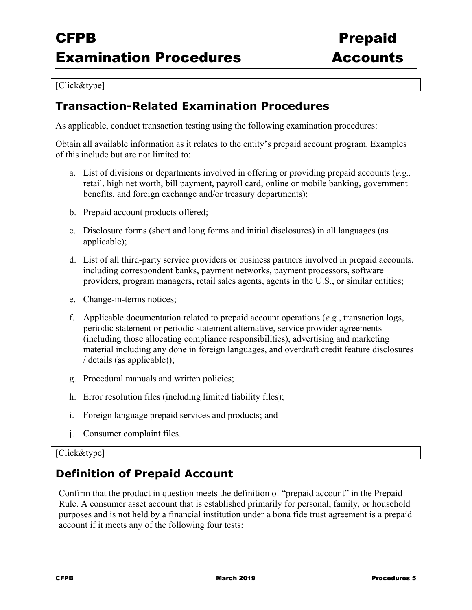#### [Click&type]

### **Transaction-Related Examination Procedures**

As applicable, conduct transaction testing using the following examination procedures:

Obtain all available information as it relates to the entity's prepaid account program. Examples of this include but are not limited to:

- a. List of divisions or departments involved in offering or providing prepaid accounts (*e.g.,* retail, high net worth, bill payment, payroll card, online or mobile banking, government benefits, and foreign exchange and/or treasury departments);
- b. Prepaid account products offered;
- c. Disclosure forms (short and long forms and initial disclosures) in all languages (as applicable);
- d. List of all third-party service providers or business partners involved in prepaid accounts, including correspondent banks, payment networks, payment processors, software providers, program managers, retail sales agents, agents in the U.S., or similar entities;
- e. Change-in-terms notices;
- f. Applicable documentation related to prepaid account operations (*e.g.*, transaction logs, periodic statement or periodic statement alternative, service provider agreements (including those allocating compliance responsibilities), advertising and marketing material including any done in foreign languages, and overdraft credit feature disclosures / details (as applicable));
- g. Procedural manuals and written policies;
- h. Error resolution files (including limited liability files);
- i. Foreign language prepaid services and products; and
- j. Consumer complaint files.

#### [Click&type]

### **Definition of Prepaid Account**

Confirm that the product in question meets the definition of "prepaid account" in the Prepaid Rule. A consumer asset account that is established primarily for personal, family, or household purposes and is not held by a financial institution under a bona fide trust agreement is a prepaid account if it meets any of the following four tests: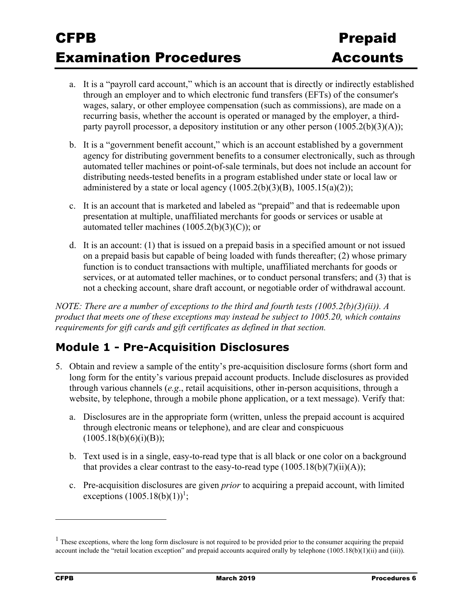- a. It is a "payroll card account," which is an account that is directly or indirectly established through an employer and to which electronic fund transfers (EFTs) of the consumer's wages, salary, or other employee compensation (such as commissions), are made on a recurring basis, whether the account is operated or managed by the employer, a thirdparty payroll processor, a depository institution or any other person  $(1005.2(b)(3)(A));$
- b. It is a "government benefit account," which is an account established by a government agency for distributing government benefits to a consumer electronically, such as through automated teller machines or point-of-sale terminals, but does not include an account for distributing needs-tested benefits in a program established under state or local law or administered by a state or local agency  $(1005.2(b)(3)(B), 1005.15(a)(2));$
- c. It is an account that is marketed and labeled as "prepaid" and that is redeemable upon presentation at multiple, unaffiliated merchants for goods or services or usable at automated teller machines  $(1005.2(b)(3)(C))$ ; or
- d. It is an account: (1) that is issued on a prepaid basis in a specified amount or not issued on a prepaid basis but capable of being loaded with funds thereafter; (2) whose primary function is to conduct transactions with multiple, unaffiliated merchants for goods or services, or at automated teller machines, or to conduct personal transfers; and (3) that is not a checking account, share draft account, or negotiable order of withdrawal account.

*NOTE: There are a number of exceptions to the third and fourth tests (1005.2(b)(3)(ii)). A product that meets one of these exceptions may instead be subject to 1005.20, which contains requirements for gift cards and gift certificates as defined in that section.* 

### **Module 1 - Pre-Acquisition Disclosures**

- 5. Obtain and review a sample of the entity's pre-acquisition disclosure forms (short form and long form for the entity's various prepaid account products. Include disclosures as provided through various channels (*e.g*., retail acquisitions, other in-person acquisitions, through a website, by telephone, through a mobile phone application, or a text message). Verify that:
	- a. Disclosures are in the appropriate form (written, unless the prepaid account is acquired through electronic means or telephone), and are clear and conspicuous  $(1005.18(b)(6)(i)(B));$
	- b. Text used is in a single, easy-to-read type that is all black or one color on a background that provides a clear contrast to the easy-to-read type  $(1005.18(b)(7)(ii)(A));$
	- c. Pre-acquisition disclosures are given *prior* to acquiring a prepaid account, with limited exceptions  $(1005.18(b)(1))^1$ ;

 $<sup>1</sup>$  These exceptions, where the long form disclosure is not required to be provided prior to the consumer acquiring the prepaid</sup> account include the "retail location exception" and prepaid accounts acquired orally by telephone (1005.18(b)(1)(ii) and (iii)).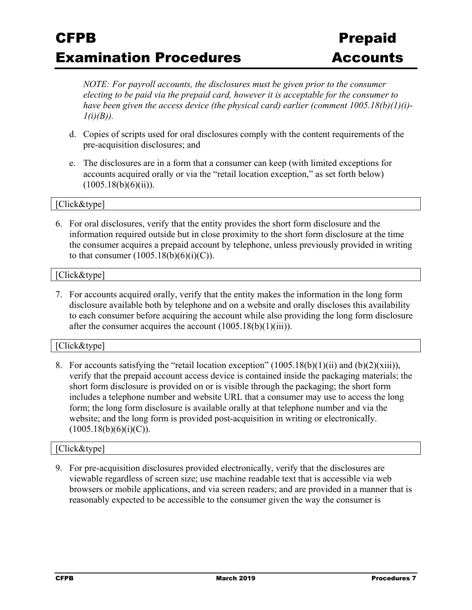*NOTE: For payroll accounts, the disclosures must be given prior to the consumer electing to be paid via the prepaid card, however it is acceptable for the consumer to have been given the access device (the physical card) earlier (comment 1005.18(b)(1)(i)- 1(i)(B)).* 

- d. Copies of scripts used for oral disclosures comply with the content requirements of the pre-acquisition disclosures; and
- e. The disclosures are in a form that a consumer can keep (with limited exceptions for accounts acquired orally or via the "retail location exception," as set forth below)  $(1005.18(b)(6)(ii)).$

#### [Click&type]

6. For oral disclosures, verify that the entity provides the short form disclosure and the information required outside but in close proximity to the short form disclosure at the time the consumer acquires a prepaid account by telephone, unless previously provided in writing to that consumer  $(1005.18(b)(6)(i)(C))$ .

#### [Click&type]

7. For accounts acquired orally, verify that the entity makes the information in the long form disclosure available both by telephone and on a website and orally discloses this availability to each consumer before acquiring the account while also providing the long form disclosure after the consumer acquires the account  $(1005.18(b)(1)(iii))$ .

#### [Click&type]

8. For accounts satisfying the "retail location exception" (1005.18(b)(1)(ii) and (b)(2)(xiii)), verify that the prepaid account access device is contained inside the packaging materials; the short form disclosure is provided on or is visible through the packaging; the short form includes a telephone number and website URL that a consumer may use to access the long form; the long form disclosure is available orally at that telephone number and via the website; and the long form is provided post-acquisition in writing or electronically.  $(1005.18(b)(6)(i)(C)).$ 

#### [Click&type]

9. For pre-acquisition disclosures provided electronically, verify that the disclosures are viewable regardless of screen size; use machine readable text that is accessible via web browsers or mobile applications, and via screen readers; and are provided in a manner that is reasonably expected to be accessible to the consumer given the way the consumer is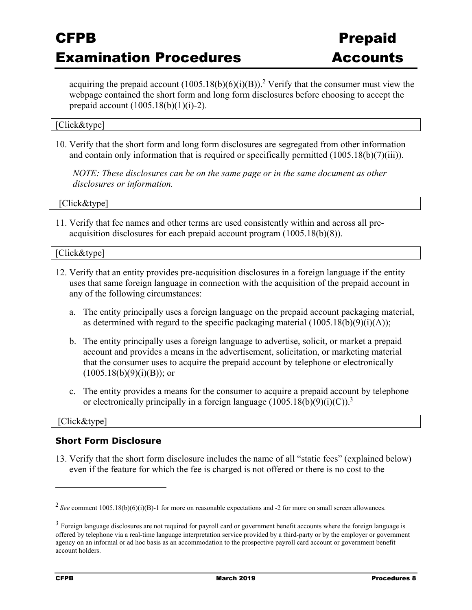acquiring the prepaid account  $(1005.18(b)(6)(i)(B))$ .<sup>2</sup> Verify that the consumer must view the webpage contained the short form and long form disclosures before choosing to accept the prepaid account  $(1005.18(b)(1)(i)-2)$ .

### [Click&type]

10. Verify that the short form and long form disclosures are segregated from other information and contain only information that is required or specifically permitted (1005.18(b)(7)(iii)).

*NOTE: These disclosures can be on the same page or in the same document as other disclosures or information.* 

[Click&type]

11. Verify that fee names and other terms are used consistently within and across all preacquisition disclosures for each prepaid account program (1005.18(b)(8)).

#### [Click&type]

- 12. Verify that an entity provides pre-acquisition disclosures in a foreign language if the entity uses that same foreign language in connection with the acquisition of the prepaid account in any of the following circumstances:
	- a. The entity principally uses a foreign language on the prepaid account packaging material, as determined with regard to the specific packaging material  $(1005.18(b)(9)(i)(A));$
	- b. The entity principally uses a foreign language to advertise, solicit, or market a prepaid account and provides a means in the advertisement, solicitation, or marketing material that the consumer uses to acquire the prepaid account by telephone or electronically  $(1005.18(b)(9)(i)(B))$ ; or
	- c. The entity provides a means for the consumer to acquire a prepaid account by telephone or electronically principally in a foreign language  $(1005.18(b)(9)(i)(C))^3$

#### [Click&type]

#### **Short Form Disclosure**

13. Verify that the short form disclosure includes the name of all "static fees" (explained below) even if the feature for which the fee is charged is not offered or there is no cost to the

<sup>2</sup>*See* comment 1005.18(b)(6)(i)(B)-1 for more on reasonable expectations and -2 for more on small screen allowances.

 $3$  Foreign language disclosures are not required for payroll card or government benefit accounts where the foreign language is offered by telephone via a real-time language interpretation service provided by a third-party or by the employer or government agency on an informal or ad hoc basis as an accommodation to the prospective payroll card account or government benefit account holders.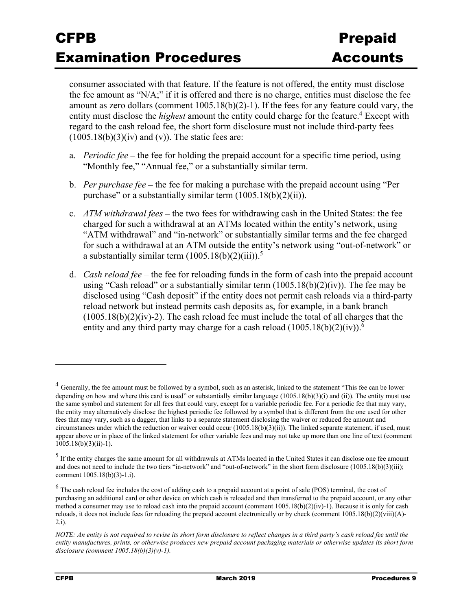consumer associated with that feature. If the feature is not offered, the entity must disclose the fee amount as "N/A;" if it is offered and there is no charge, entities must disclose the fee amount as zero dollars (comment  $1005.18(b)(2)-1$ ). If the fees for any feature could vary, the entity must disclose the *highest* amount the entity could charge for the feature.<sup>4</sup> Except with regard to the cash reload fee, the short form disclosure must not include third-party fees  $(1005.18(b)(3)(iv)$  and (v)). The static fees are:

- a. *Periodic fee* **–** the fee for holding the prepaid account for a specific time period, using "Monthly fee," "Annual fee," or a substantially similar term.
- b. *Per purchase fee*the fee for making a purchase with the prepaid account using "Per purchase" or a substantially similar term  $(1005.18(b)(2)(ii))$ .
- c. *ATM withdrawal fees* **–** the two fees for withdrawing cash in the United States: the fee charged for such a withdrawal at an ATMs located within the entity's network, using "ATM withdrawal" and "in-network" or substantially similar terms and the fee charged for such a withdrawal at an ATM outside the entity's network using "out-of-network" or a substantially similar term  $(1005.18(b)(2)(iii))$ .<sup>5</sup>
- d. *Cash reload fee* the fee for reloading funds in the form of cash into the prepaid account using "Cash reload" or a substantially similar term  $(1005.18(b)(2)(iv))$ . The fee may be disclosed using "Cash deposit" if the entity does not permit cash reloads via a third-party reload network but instead permits cash deposits as, for example, in a bank branch  $(1005.18(b)(2)(iv)-2)$ . The cash reload fee must include the total of all charges that the entity and any third party may charge for a cash reload  $(1005.18(b)(2)(iv))$ .<sup>6</sup>

1

<sup>&</sup>lt;sup>4</sup> Generally, the fee amount must be followed by a symbol, such as an asterisk, linked to the statement "This fee can be lower depending on how and where this card is used" or substantially similar language  $(1005.18(b)(3)(i)$  and (ii)). The entity must use the same symbol and statement for all fees that could vary, except for a variable periodic fee. For a periodic fee that may vary, the entity may alternatively disclose the highest periodic fee followed by a symbol that is different from the one used for other fees that may vary, such as a dagger, that links to a separate statement disclosing the waiver or reduced fee amount and circumstances under which the reduction or waiver could occur (1005.18(b)(3)(ii)). The linked separate statement, if used, must appear above or in place of the linked statement for other variable fees and may not take up more than one line of text (comment  $1005.18(b)(3)(ii) - 1$ .

<sup>&</sup>lt;sup>5</sup> If the entity charges the same amount for all withdrawals at ATMs located in the United States it can disclose one fee amount and does not need to include the two tiers "in-network" and "out-of-network" in the short form disclosure (1005.18(b)(3)(iii); comment 1005.18(b)(3)-1.i).

 $^6$  The cash reload fee includes the cost of adding cash to a prepaid account at a point of sale (POS) terminal, the cost of purchasing an additional card or other device on which cash is reloaded and then transferred to the prepaid account, or any other method a consumer may use to reload cash into the prepaid account (comment  $1005.18(b)(2)(iv)$ -1). Because it is only for cash reloads, it does not include fees for reloading the prepaid account electronically or by check (comment 1005.18(b)(2)(viii)(A)-  $2.i$ ).

*NOTE: An entity is not required to revise its short form disclosure to reflect changes in a third party's cash reload fee until the entity manufactures, prints, or otherwise produces new prepaid account packaging materials or otherwise updates its short form disclosure (comment 1005.18(b)(3)(v)-1).*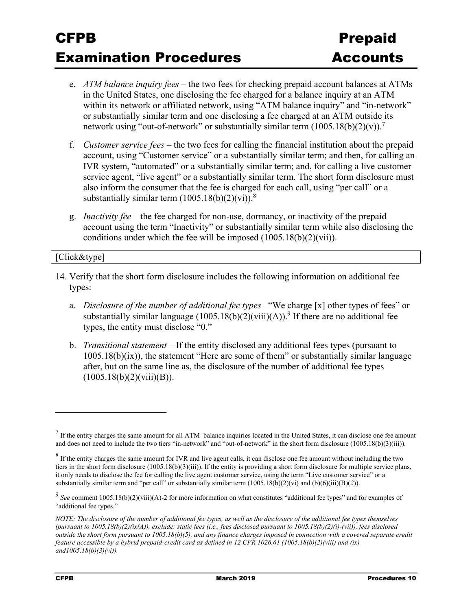- e. *ATM balance inquiry fees* the two fees for checking prepaid account balances at ATMs in the United States, one disclosing the fee charged for a balance inquiry at an ATM within its network or affiliated network, using "ATM balance inquiry" and "in-network" or substantially similar term and one disclosing a fee charged at an ATM outside its network using "out-of-network" or substantially similar term  $(1005.18(b)(2)(v))$ .<sup>7</sup>
- f. *Customer service fees* the two fees for calling the financial institution about the prepaid account, using "Customer service" or a substantially similar term; and then, for calling an IVR system, "automated" or a substantially similar term; and, for calling a live customer service agent, "live agent" or a substantially similar term. The short form disclosure must also inform the consumer that the fee is charged for each call, using "per call" or a substantially similar term  $(1005.18(b)(2)(vi))$ .<sup>8</sup>
- g. *Inactivity fee* the fee charged for non-use, dormancy, or inactivity of the prepaid account using the term "Inactivity" or substantially similar term while also disclosing the conditions under which the fee will be imposed (1005.18(b)(2)(vii)).

[Click&type]

- 14. Verify that the short form disclosure includes the following information on additional fee types:
	- a. *Disclosure of the number of additional fee types* –"We charge [x] other types of fees" or substantially similar language  $(1005.18(b)(2)(viii)(A))$ .<sup>9</sup> If there are no additional fee types, the entity must disclose "0."
	- b. *Transitional statement* If the entity disclosed any additional fees types (pursuant to 1005.18(b)(ix)), the statement "Here are some of them" or substantially similar language after, but on the same line as, the disclosure of the number of additional fee types  $(1005.18(b)(2)(viii)(B)).$

<u>.</u>

 $<sup>7</sup>$  If the entity charges the same amount for all ATM balance inquiries located in the United States, it can disclose one fee amount</sup> and does not need to include the two tiers "in-network" and "out-of-network" in the short form disclosure (1005.18(b)(3)(iii)).

 $8$  If the entity charges the same amount for IVR and live agent calls, it can disclose one fee amount without including the two tiers in the short form disclosure (1005.18(b)(3)(iii)). If the entity is providing a short form disclosure for multiple service plans, it only needs to disclose the fee for calling the live agent customer service, using the term "Live customer service" or a substantially similar term and "per call" or substantially similar term  $(1005.18(b)(2)(vi)$  and  $(b)(6)(iii)(B)(2))$ .

<sup>&</sup>lt;sup>9</sup> See comment 1005.18(b)(2)(viii)(A)-2 for more information on what constitutes "additional fee types" and for examples of "additional fee types."

*NOTE: The disclosure of the number of additional fee types, as well as the disclosure of the additional fee types themselves (pursuant to 1005.18(b)(2)(ix(A)), exclude: static fees (i.e., fees disclosed pursuant to 1005.18(b)(2)(i)-(vii)), fees disclosed outside the short form pursuant to 1005.18(b)(5), and any finance charges imposed in connection with a covered separate credit feature accessible by a hybrid prepaid-credit card as defined in 12 CFR 1026.61 (1005.18(b)(2)(viii) and (ix) and1005.18(b)(3)(vi)).*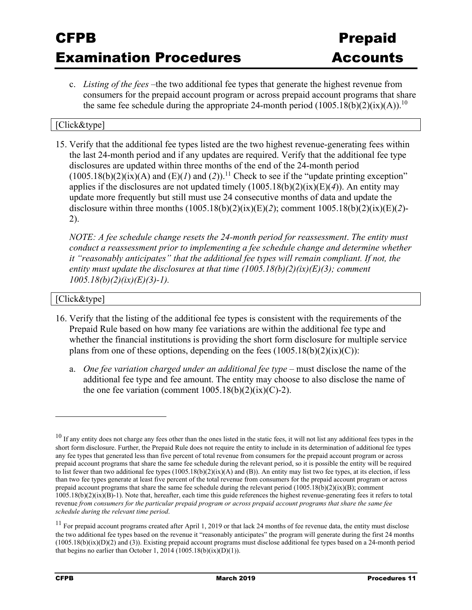c. *Listing of the fees* –the two additional fee types that generate the highest revenue from consumers for the prepaid account program or across prepaid account programs that share the same fee schedule during the appropriate 24-month period  $(1005.18(b)(2)(ix)(A))$ .<sup>10</sup>

### [Click&type]

15. Verify that the additional fee types listed are the two highest revenue-generating fees within the last 24-month period and if any updates are required. Verify that the additional fee type disclosures are updated within three months of the end of the 24-month period  $(1005.18(b)(2)(ix)(A)$  and  $(E)(I)$  and  $(2))$ .<sup>11</sup> Check to see if the "update printing exception" applies if the disclosures are not updated timely (1005.18(b)(2)(ix)(E)(*4*)). An entity may update more frequently but still must use 24 consecutive months of data and update the disclosure within three months (1005.18(b)(2)(ix)(E)(*2*); comment 1005.18(b)(2)(ix)(E)(*2*)- 2).

*NOTE: A fee schedule change resets the 24-month period for reassessment*. *The entity must conduct a reassessment prior to implementing a fee schedule change and determine whether it "reasonably anticipates" that the additional fee types will remain compliant. If not, the entity must update the disclosures at that time (1005.18(b)(2)(ix)(E)(3); comment 1005.18(b)(2)(ix)(E)(3)-1).* 

#### [Click&type]

- 16. Verify that the listing of the additional fee types is consistent with the requirements of the Prepaid Rule based on how many fee variations are within the additional fee type and whether the financial institutions is providing the short form disclosure for multiple service plans from one of these options, depending on the fees  $(1005.18(b)(2)(ix)(C))$ :
	- a. *One fee variation charged under an additional fee type –* must disclose the name of the additional fee type and fee amount. The entity may choose to also disclose the name of the one fee variation (comment  $1005.18(b)(2)(ix)(C)-2$ ).

 $10$  If any entity does not charge any fees other than the ones listed in the static fees, it will not list any additional fees types in the short form disclosure. Further, the Prepaid Rule does not require the entity to include in its determination of additional fee types any fee types that generated less than five percent of total revenue from consumers for the prepaid account program or across prepaid account programs that share the same fee schedule during the relevant period, so it is possible the entity will be required to list fewer than two additional fee types  $(1005.18(b)(2)(ix)(A)$  and  $(B)$ ). An entity may list two fee types, at its election, if less than two fee types generate at least five percent of the total revenue from consumers for the prepaid account program or across prepaid account programs that share the same fee schedule during the relevant period  $(1005.18(b)(2)(ix)(B))$ ; comment 1005.18(b)(2)(ix)(B)-1). Note that, hereafter, each time this guide references the highest revenue-generating fees it refers to total revenue *from consumers for the particular prepaid program or across prepaid account programs that share the same fee schedule during the relevant time period*.

 $11$  For prepaid account programs created after April 1, 2019 or that lack 24 months of fee revenue data, the entity must disclose the two additional fee types based on the revenue it "reasonably anticipates" the program will generate during the first 24 months  $(1005.18(b)(ix)(D)(2)$  and (3)). Existing prepaid account programs must disclose additional fee types based on a 24-month period that begins no earlier than October 1, 2014 (1005.18(b)(ix)(D)(1)).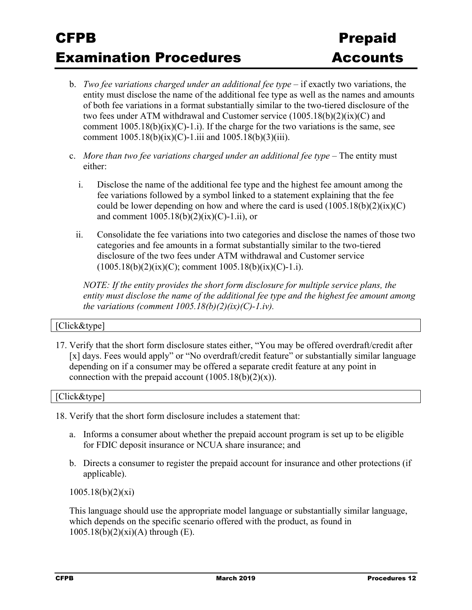- b. *Two fee variations charged under an additional fee type* if exactly two variations, the entity must disclose the name of the additional fee type as well as the names and amounts of both fee variations in a format substantially similar to the two-tiered disclosure of the two fees under ATM withdrawal and Customer service (1005.18(b)(2)(ix)(C) and comment  $1005.18(b)(ix)(C)-1.1$ . If the charge for the two variations is the same, see comment  $1005.18(b)(ix)(C) - 1.iii$  and  $1005.18(b)(3)(iii)$ .
- c. *More than two fee variations charged under an additional fee type* The entity must either:
	- i. Disclose the name of the additional fee type and the highest fee amount among the fee variations followed by a symbol linked to a statement explaining that the fee could be lower depending on how and where the card is used  $(1005.18(b)(2)(ix)(C))$ and comment  $1005.18(b)(2)(ix)(C)-1.ii)$ , or
	- ii. Consolidate the fee variations into two categories and disclose the names of those two categories and fee amounts in a format substantially similar to the two-tiered disclosure of the two fees under ATM withdrawal and Customer service  $(1005.18(b)(2)(ix)(C))$ ; comment  $1005.18(b)(ix)(C)-1.1)$ .

*NOTE: If the entity provides the short form disclosure for multiple service plans, the entity must disclose the name of the additional fee type and the highest fee amount among the variations (comment*  $1005.18(b)(2)(ix)(C)-1.iv)$ *.* 

### [Click&type]

17. Verify that the short form disclosure states either, "You may be offered overdraft/credit after [x] days. Fees would apply" or "No overdraft/credit feature" or substantially similar language depending on if a consumer may be offered a separate credit feature at any point in connection with the prepaid account  $(1005.18(b)(2)(x))$ .

[Click&type]

18. Verify that the short form disclosure includes a statement that:

- a. Informs a consumer about whether the prepaid account program is set up to be eligible for FDIC deposit insurance or NCUA share insurance; and
- b. Directs a consumer to register the prepaid account for insurance and other protections (if applicable).

1005.18(b)(2)(xi)

This language should use the appropriate model language or substantially similar language, which depends on the specific scenario offered with the product, as found in  $1005.18(b)(2)(xi)(A)$  through (E).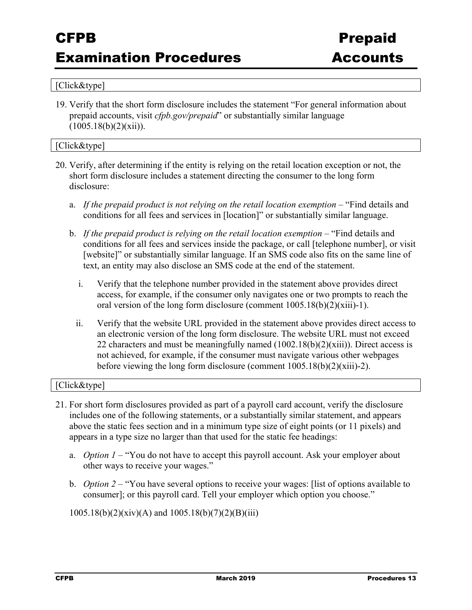## Examination Procedures **Accounts**

#### [Click&type]

19. Verify that the short form disclosure includes the statement "For general information about prepaid accounts, visit *cfpb.gov/prepaid*" or substantially similar language  $(1005.18(b)(2)(xii)).$ 

#### [Click&type]

- 20. Verify, after determining if the entity is relying on the retail location exception or not, the short form disclosure includes a statement directing the consumer to the long form disclosure:
	- a. *If the prepaid product is not relying on the retail location exemption* "Find details and conditions for all fees and services in [location]" or substantially similar language.
	- b. *If the prepaid product is relying on the retail location exemption* "Find details and conditions for all fees and services inside the package, or call [telephone number], or visit [website]" or substantially similar language. If an SMS code also fits on the same line of text, an entity may also disclose an SMS code at the end of the statement.
		- i. Verify that the telephone number provided in the statement above provides direct access, for example, if the consumer only navigates one or two prompts to reach the oral version of the long form disclosure (comment 1005.18(b)(2)(xiii)-1).
		- ii. Verify that the website URL provided in the statement above provides direct access to an electronic version of the long form disclosure. The website URL must not exceed 22 characters and must be meaningfully named  $(1002.18(b)(2)(xiii))$ . Direct access is not achieved, for example, if the consumer must navigate various other webpages before viewing the long form disclosure (comment 1005.18(b)(2)(xiii)-2).

#### [Click&type]

- 21. For short form disclosures provided as part of a payroll card account, verify the disclosure includes one of the following statements, or a substantially similar statement, and appears above the static fees section and in a minimum type size of eight points (or 11 pixels) and appears in a type size no larger than that used for the static fee headings:
	- a. *Option 1* "You do not have to accept this payroll account. Ask your employer about other ways to receive your wages."
	- b. *Option 2*  "You have several options to receive your wages: [list of options available to consumer]; or this payroll card. Tell your employer which option you choose."

 $1005.18(b)(2)(xiv)(A)$  and  $1005.18(b)(7)(2)(B)(iii)$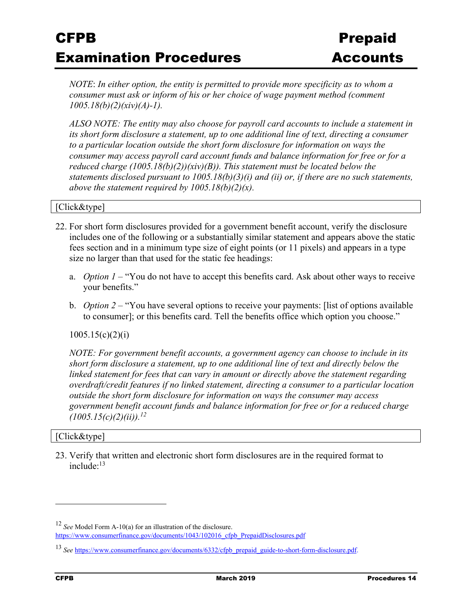*NOTE*: *In either option, the entity is permitted to provide more specificity as to whom a consumer must ask or inform of his or her choice of wage payment method (comment 1005.18(b)(2)(xiv)(A)-1).* 

*ALSO NOTE: The entity may also choose for payroll card accounts to include a statement in its short form disclosure a statement, up to one additional line of text, directing a consumer to a particular location outside the short form disclosure for information on ways the consumer may access payroll card account funds and balance information for free or for a reduced charge (1005.18(b)(2))(xiv)(B)). This statement must be located below the statements disclosed pursuant to 1005.18(b)(3)(i) and (ii) or, if there are no such statements, above the statement required by 1005.18(b)(2)(x).*

#### [Click&type]

- 22. For short form disclosures provided for a government benefit account, verify the disclosure includes one of the following or a substantially similar statement and appears above the static fees section and in a minimum type size of eight points (or 11 pixels) and appears in a type size no larger than that used for the static fee headings:
	- a. *Option 1* "You do not have to accept this benefits card. Ask about other ways to receive your benefits."
	- b. *Option 2*  "You have several options to receive your payments: [list of options available to consumer]; or this benefits card. Tell the benefits office which option you choose."

#### $1005.15(c)(2)(i)$

*NOTE: For government benefit accounts, a government agency can choose to include in its short form disclosure a statement, up to one additional line of text and directly below the linked statement for fees that can vary in amount or directly above the statement regarding overdraft/credit features if no linked statement, directing a consumer to a particular location outside the short form disclosure for information on ways the consumer may access government benefit account funds and balance information for free or for a reduced charge (1005.15(c)(2)(ii)).12* 

#### [Click&type]

23. Verify that written and electronic short form disclosures are in the required format to include:13

<sup>12</sup> *See* Model Form A-10(a) for an illustration of the disclosure. https://www.consumerfinance.gov/documents/1043/102016\_cfpb\_PrepaidDisclosures.pdf

<sup>13</sup> *See* https://www.consumerfinance.gov/documents/6332/cfpb\_prepaid\_guide-to-short-form-disclosure.pdf.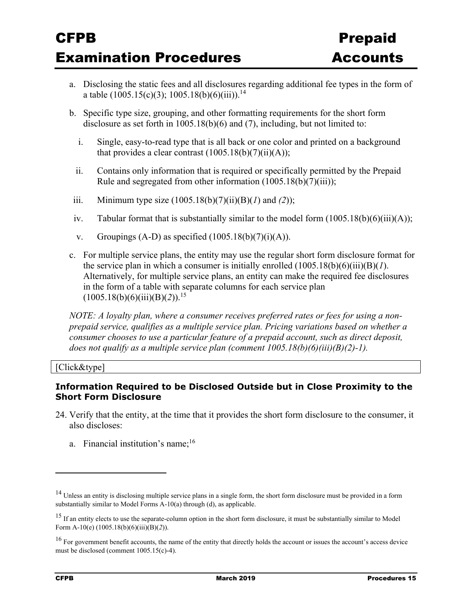- a. Disclosing the static fees and all disclosures regarding additional fee types in the form of a table  $(1005.15(c)(3); 1005.18(b)(6)(iii))$ .<sup>14</sup>
- b. Specific type size, grouping, and other formatting requirements for the short form disclosure as set forth in 1005.18(b)(6) and (7), including, but not limited to:
	- i. Single, easy-to-read type that is all back or one color and printed on a background that provides a clear contrast  $(1005.18(b)(7)(ii)(A));$
	- ii. Contains only information that is required or specifically permitted by the Prepaid Rule and segregated from other information (1005.18(b)(7)(iii));
- iii. Minimum type size (1005.18(b)(7)(ii)(B)(*1*) and *(2*));
- iv. Tabular format that is substantially similar to the model form  $(1005.18(b)(6)(iii)(A));$
- v. Groupings  $(A-D)$  as specified  $(1005.18(b)(7)(i)(A))$ .
- c. For multiple service plans, the entity may use the regular short form disclosure format for the service plan in which a consumer is initially enrolled  $(1005.18(b)(6)(iii)(B)(*I*).$ Alternatively, for multiple service plans, an entity can make the required fee disclosures in the form of a table with separate columns for each service plan  $(1005.18(b)(6)(iii)(B)(2))$ .<sup>15</sup>

*NOTE: A loyalty plan, where a consumer receives preferred rates or fees for using a nonprepaid service, qualifies as a multiple service plan. Pricing variations based on whether a consumer chooses to use a particular feature of a prepaid account, such as direct deposit, does not qualify as a multiple service plan (comment 1005.18(b)(6)(iii)(B)(2)-1).* 

[Click&type]

### **Information Required to be Disclosed Outside but in Close Proximity to the Short Form Disclosure**

- 24. Verify that the entity, at the time that it provides the short form disclosure to the consumer, it also discloses:
	- a. Financial institution's name;<sup>16</sup>

<sup>&</sup>lt;sup>14</sup> Unless an entity is disclosing multiple service plans in a single form, the short form disclosure must be provided in a form substantially similar to Model Forms A-10(a) through (d), as applicable.

<sup>&</sup>lt;sup>15</sup> If an entity elects to use the separate-column option in the short form disclosure, it must be substantially similar to Model Form A-10(e) (1005.18(b)(6)(iii)(B)(*2*)).

<sup>&</sup>lt;sup>16</sup> For government benefit accounts, the name of the entity that directly holds the account or issues the account's access device must be disclosed (comment 1005.15(c)-4).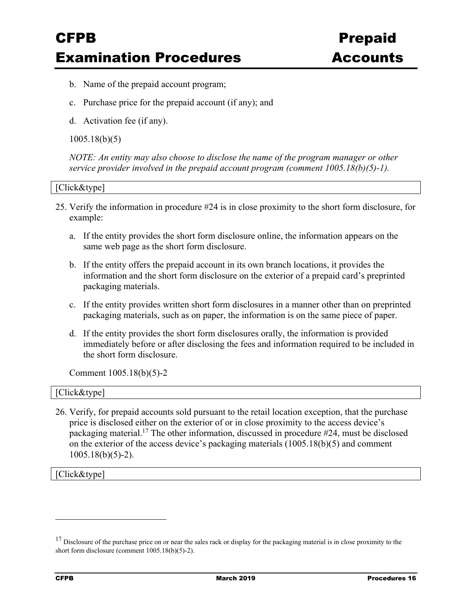- b. Name of the prepaid account program;
- c. Purchase price for the prepaid account (if any); and
- d. Activation fee (if any).

#### 1005.18(b)(5)

*NOTE: An entity may also choose to disclose the name of the program manager or other service provider involved in the prepaid account program (comment 1005.18(b)(5)-1).* 

#### [Click&type]

- 25. Verify the information in procedure #24 is in close proximity to the short form disclosure, for example:
	- a. If the entity provides the short form disclosure online, the information appears on the same web page as the short form disclosure.
	- b. If the entity offers the prepaid account in its own branch locations, it provides the information and the short form disclosure on the exterior of a prepaid card's preprinted packaging materials.
	- c. If the entity provides written short form disclosures in a manner other than on preprinted packaging materials, such as on paper, the information is on the same piece of paper.
	- d. If the entity provides the short form disclosures orally, the information is provided immediately before or after disclosing the fees and information required to be included in the short form disclosure.

Comment 1005.18(b)(5)-2

| [Click&type] |
|--------------|
|--------------|

26. Verify, for prepaid accounts sold pursuant to the retail location exception, that the purchase price is disclosed either on the exterior of or in close proximity to the access device's packaging material.<sup>17</sup> The other information, discussed in procedure  $\#24$ , must be disclosed on the exterior of the access device's packaging materials  $(1005.18(b)(5)$  and comment 1005.18(b)(5)-2).

[Click&type]

<sup>&</sup>lt;sup>17</sup> Disclosure of the purchase price on or near the sales rack or display for the packaging material is in close proximity to the short form disclosure (comment 1005.18(b)(5)-2).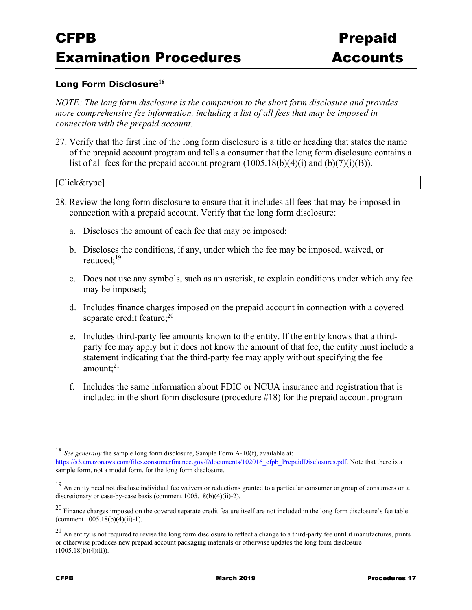#### **Long Form Disclosure<sup>18</sup>**

*NOTE: The long form disclosure is the companion to the short form disclosure and provides more comprehensive fee information, including a list of all fees that may be imposed in connection with the prepaid account.* 

27. Verify that the first line of the long form disclosure is a title or heading that states the name of the prepaid account program and tells a consumer that the long form disclosure contains a list of all fees for the prepaid account program  $(1005.18(b)(4)(i)$  and  $(b)(7)(i)(B))$ .

#### [Click&type]

- 28. Review the long form disclosure to ensure that it includes all fees that may be imposed in connection with a prepaid account. Verify that the long form disclosure:
	- a. Discloses the amount of each fee that may be imposed;
	- b. Discloses the conditions, if any, under which the fee may be imposed, waived, or reduced:<sup>19</sup>
	- c. Does not use any symbols, such as an asterisk, to explain conditions under which any fee may be imposed;
	- d. Includes finance charges imposed on the prepaid account in connection with a covered separate credit feature; $^{20}$
	- e. Includes third-party fee amounts known to the entity. If the entity knows that a thirdparty fee may apply but it does not know the amount of that fee, the entity must include a statement indicating that the third-party fee may apply without specifying the fee amount: $21$
	- f. Includes the same information about FDIC or NCUA insurance and registration that is included in the short form disclosure (procedure #18) for the prepaid account program

<sup>18</sup> *See generally* the sample long form disclosure, Sample Form A-10(f), available at: https://s3.amazonaws.com/files.consumerfinance.gov/f/documents/102016\_cfpb\_PrepaidDisclosures.pdf. Note that there is a sample form, not a model form, for the long form disclosure.

<sup>&</sup>lt;sup>19</sup> An entity need not disclose individual fee waivers or reductions granted to a particular consumer or group of consumers on a discretionary or case-by-case basis (comment 1005.18(b)(4)(ii)-2).

<sup>&</sup>lt;sup>20</sup> Finance charges imposed on the covered separate credit feature itself are not included in the long form disclosure's fee table (comment  $1005.18(b)(4)(ii)-1$ ).

 $21$  An entity is not required to revise the long form disclosure to reflect a change to a third-party fee until it manufactures, prints or otherwise produces new prepaid account packaging materials or otherwise updates the long form disclosure  $(1005.18(b)(4)(ii)).$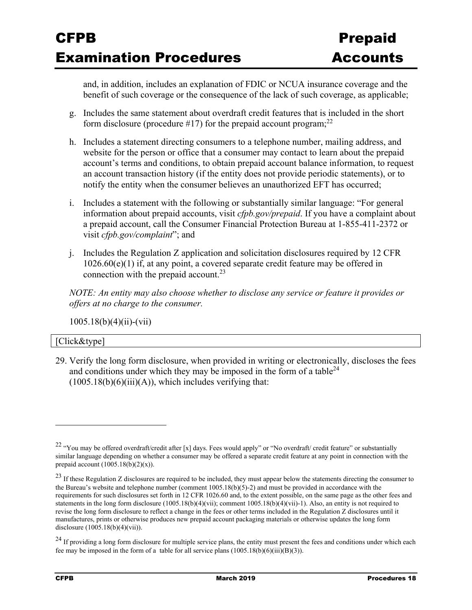and, in addition, includes an explanation of FDIC or NCUA insurance coverage and the benefit of such coverage or the consequence of the lack of such coverage, as applicable;

- g. Includes the same statement about overdraft credit features that is included in the short form disclosure (procedure #17) for the prepaid account program;<sup>22</sup>
- h. Includes a statement directing consumers to a telephone number, mailing address, and website for the person or office that a consumer may contact to learn about the prepaid account's terms and conditions, to obtain prepaid account balance information, to request an account transaction history (if the entity does not provide periodic statements), or to notify the entity when the consumer believes an unauthorized EFT has occurred;
- i. Includes a statement with the following or substantially similar language: "For general information about prepaid accounts, visit *cfpb.gov/prepaid*. If you have a complaint about a prepaid account, call the Consumer Financial Protection Bureau at 1-855-411-2372 or visit *cfpb.gov/complaint*"; and
- j. Includes the Regulation Z application and solicitation disclosures required by 12 CFR 1026.60(e)(1) if, at any point, a covered separate credit feature may be offered in connection with the prepaid account.<sup>23</sup>

*NOTE: An entity may also choose whether to disclose any service or feature it provides or offers at no charge to the consumer.* 

1005.18(b)(4)(ii)-(vii)

#### [Click&type]

29. Verify the long form disclosure, when provided in writing or electronically, discloses the fees and conditions under which they may be imposed in the form of a table  $24$  $(1005.18(b)(6)(iii)(A))$ , which includes verifying that:

<sup>&</sup>lt;sup>22</sup> "You may be offered overdraft/credit after [x] days. Fees would apply" or "No overdraft/ credit feature" or substantially similar language depending on whether a consumer may be offered a separate credit feature at any point in connection with the prepaid account  $(1005.18(b)(2)(x))$ .

 $23$  If these Regulation Z disclosures are required to be included, they must appear below the statements directing the consumer to the Bureau's website and telephone number (comment 1005.18(b)(5)-2) and must be provided in accordance with the requirements for such disclosures set forth in 12 CFR 1026.60 and, to the extent possible, on the same page as the other fees and statements in the long form disclosure (1005.18(b)(4)(vii); comment 1005.18(b)(4)(vii)-1). Also, an entity is not required to revise the long form disclosure to reflect a change in the fees or other terms included in the Regulation Z disclosures until it manufactures, prints or otherwise produces new prepaid account packaging materials or otherwise updates the long form disclosure (1005.18(b)(4)(vii)).

 $^{24}$  If providing a long form disclosure for multiple service plans, the entity must present the fees and conditions under which each fee may be imposed in the form of a table for all service plans  $(1005.18(b)(6)(iii)(B)(3))$ .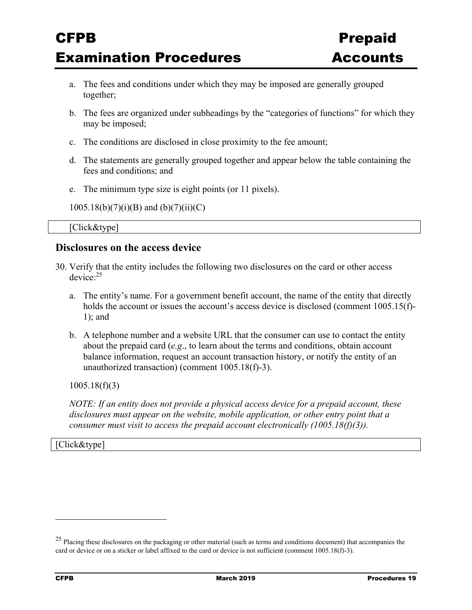- a. The fees and conditions under which they may be imposed are generally grouped together;
- b. The fees are organized under subheadings by the "categories of functions" for which they may be imposed;
- c. The conditions are disclosed in close proximity to the fee amount;
- d. The statements are generally grouped together and appear below the table containing the fees and conditions; and
- e. The minimum type size is eight points (or 11 pixels).
- $1005.18(b)(7)(i)(B)$  and  $(b)(7)(ii)(C)$

[Click&type]

### **Disclosures on the access device**

- 30. Verify that the entity includes the following two disclosures on the card or other access device:25
	- a. The entity's name. For a government benefit account, the name of the entity that directly holds the account or issues the account's access device is disclosed (comment 1005.15(f)-1); and
	- b. A telephone number and a website URL that the consumer can use to contact the entity about the prepaid card (*e.g*., to learn about the terms and conditions, obtain account balance information, request an account transaction history, or notify the entity of an unauthorized transaction) (comment 1005.18(f)-3).

1005.18(f)(3)

*NOTE: If an entity does not provide a physical access device for a prepaid account, these disclosures must appear on the website, mobile application, or other entry point that a consumer must visit to access the prepaid account electronically (1005.18(f)(3)).* 

[Click&type]

<sup>&</sup>lt;sup>25</sup> Placing these disclosures on the packaging or other material (such as terms and conditions document) that accompanies the card or device or on a sticker or label affixed to the card or device is not sufficient (comment 1005.18(f)-3).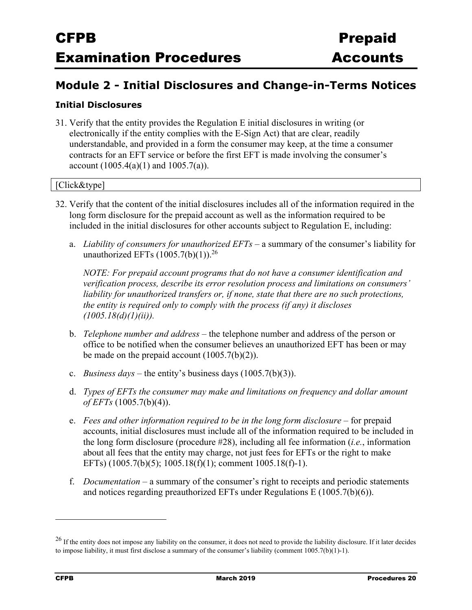### **Module 2 - Initial Disclosures and Change-in-Terms Notices**

### **Initial Disclosures**

31. Verify that the entity provides the Regulation E initial disclosures in writing (or electronically if the entity complies with the E-Sign Act) that are clear, readily understandable, and provided in a form the consumer may keep, at the time a consumer contracts for an EFT service or before the first EFT is made involving the consumer's account  $(1005.4(a)(1)$  and  $1005.7(a)$ ).

#### [Click&type]

- 32. Verify that the content of the initial disclosures includes all of the information required in the long form disclosure for the prepaid account as well as the information required to be included in the initial disclosures for other accounts subject to Regulation E, including:
	- a. *Liability of consumers for unauthorized EFTs –* a summary of the consumer's liability for unauthorized EFTs  $(1005.7(b)(1))$ <sup>26</sup>

*NOTE: For prepaid account programs that do not have a consumer identification and verification process, describe its error resolution process and limitations on consumers'*  liability for unauthorized transfers or, if none, state that there are no such protections, *the entity is required only to comply with the process (if any) it discloses (1005.18(d)(1)(ii)).* 

- b. *Telephone number and address –* the telephone number and address of the person or office to be notified when the consumer believes an unauthorized EFT has been or may be made on the prepaid account  $(1005.7(b)(2))$ .
- c. *Business days –* the entity's business days (1005.7(b)(3)).
- d. *Types of EFTs the consumer may make and limitations on frequency and dollar amount of EFTs* (1005.7(b)(4)).
- e. *Fees and other information required to be in the long form disclosure* for prepaid accounts, initial disclosures must include all of the information required to be included in the long form disclosure (procedure #28), including all fee information (*i.e.*, information about all fees that the entity may charge, not just fees for EFTs or the right to make EFTs) (1005.7(b)(5); 1005.18(f)(1); comment 1005.18(f)-1).
- f. *Documentation –* a summary of the consumer's right to receipts and periodic statements and notices regarding preauthorized EFTs under Regulations E (1005.7(b)(6)).

<sup>&</sup>lt;sup>26</sup> If the entity does not impose any liability on the consumer, it does not need to provide the liability disclosure. If it later decides to impose liability, it must first disclose a summary of the consumer's liability (comment 1005.7(b)(1)-1).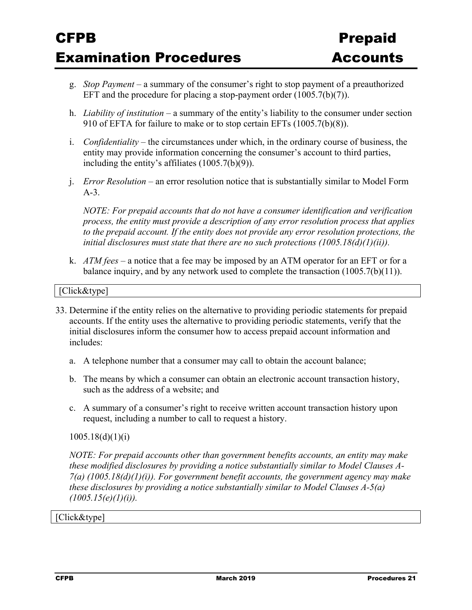- g. *Stop Payment –* a summary of the consumer's right to stop payment of a preauthorized EFT and the procedure for placing a stop-payment order  $(1005.7(b)(7))$ .
- h. *Liability of institution –* a summary of the entity's liability to the consumer under section 910 of EFTA for failure to make or to stop certain EFTs (1005.7(b)(8)).
- i. *Confidentiality* the circumstances under which, in the ordinary course of business, the entity may provide information concerning the consumer's account to third parties, including the entity's affiliates (1005.7(b)(9)).
- j. *Error Resolution* an error resolution notice that is substantially similar to Model Form A-3.

*NOTE: For prepaid accounts that do not have a consumer identification and verification process, the entity must provide a description of any error resolution process that applies to the prepaid account. If the entity does not provide any error resolution protections, the initial disclosures must state that there are no such protections (1005.18(d)(1)(ii)).* 

k. *ATM fees –* a notice that a fee may be imposed by an ATM operator for an EFT or for a balance inquiry, and by any network used to complete the transaction (1005.7(b)(11)).

#### [Click&type]

- 33. Determine if the entity relies on the alternative to providing periodic statements for prepaid accounts. If the entity uses the alternative to providing periodic statements, verify that the initial disclosures inform the consumer how to access prepaid account information and includes:
	- a. A telephone number that a consumer may call to obtain the account balance;
	- b. The means by which a consumer can obtain an electronic account transaction history, such as the address of a website; and
	- c. A summary of a consumer's right to receive written account transaction history upon request, including a number to call to request a history.

#### $1005.18(d)(1)(i)$

*NOTE: For prepaid accounts other than government benefits accounts, an entity may make these modified disclosures by providing a notice substantially similar to Model Clauses A-7(a) (1005.18(d)(1)(i)). For government benefit accounts, the government agency may make these disclosures by providing a notice substantially similar to Model Clauses A-5(a) (1005.15(e)(1)(i)).*

#### [Click&type]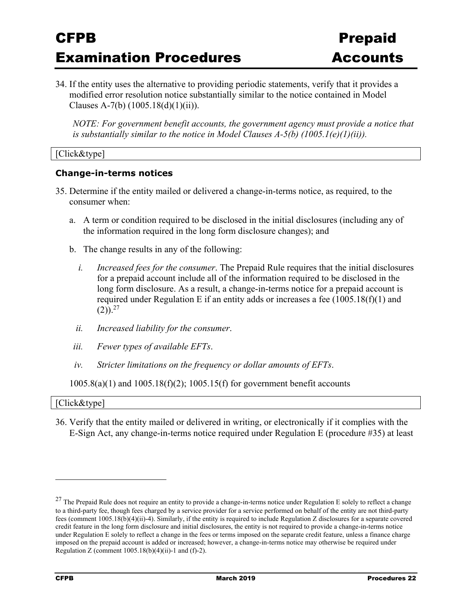34. If the entity uses the alternative to providing periodic statements, verify that it provides a modified error resolution notice substantially similar to the notice contained in Model Clauses A-7(b)  $(1005.18(d)(1)(ii))$ .

*NOTE: For government benefit accounts, the government agency must provide a notice that is substantially similar to the notice in Model Clauses A-5(b) (1005.1(e)(1)(ii)).* 

#### [Click&type]

#### **Change-in-terms notices**

- 35. Determine if the entity mailed or delivered a change-in-terms notice, as required, to the consumer when:
	- a. A term or condition required to be disclosed in the initial disclosures (including any of the information required in the long form disclosure changes); and
	- b. The change results in any of the following:
		- *i. Increased fees for the consumer*. The Prepaid Rule requires that the initial disclosures for a prepaid account include all of the information required to be disclosed in the long form disclosure. As a result, a change-in-terms notice for a prepaid account is required under Regulation E if an entity adds or increases a fee (1005.18(f)(1) and  $(2)$ ).<sup>27</sup>
		- *ii. Increased liability for the consumer*.
	- *iii. Fewer types of available EFTs*.
	- *iv. Stricter limitations on the frequency or dollar amounts of EFTs*.

1005.8(a)(1) and 1005.18(f)(2); 1005.15(f) for government benefit accounts

| [Click&type] |  |
|--------------|--|
|--------------|--|

36. Verify that the entity mailed or delivered in writing, or electronically if it complies with the E-Sign Act, any change-in-terms notice required under Regulation E (procedure #35) at least

 $27$  The Prepaid Rule does not require an entity to provide a change-in-terms notice under Regulation E solely to reflect a change to a third-party fee, though fees charged by a service provider for a service performed on behalf of the entity are not third-party fees (comment 1005.18(b)(4)(ii)-4). Similarly, if the entity is required to include Regulation Z disclosures for a separate covered credit feature in the long form disclosure and initial disclosures, the entity is not required to provide a change-in-terms notice under Regulation E solely to reflect a change in the fees or terms imposed on the separate credit feature, unless a finance charge imposed on the prepaid account is added or increased; however, a change-in-terms notice may otherwise be required under Regulation Z (comment  $1005.18(b)(4)(ii)$ -1 and (f)-2).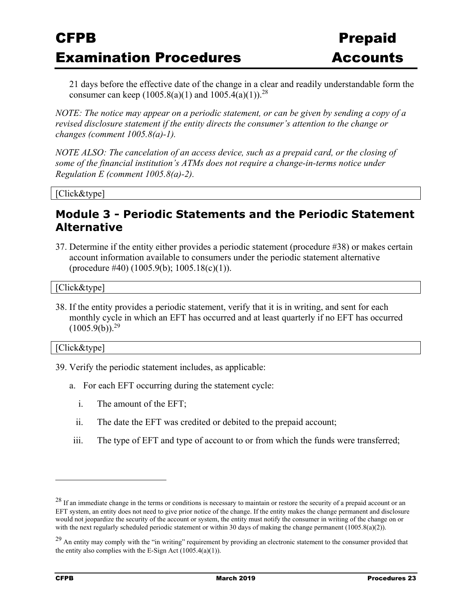21 days before the effective date of the change in a clear and readily understandable form the consumer can keep  $(1005.8(a)(1)$  and  $1005.4(a)(1)$ .<sup>28</sup>

*NOTE: The notice may appear on a periodic statement, or can be given by sending a copy of a revised disclosure statement if the entity directs the consumer's attention to the change or changes (comment 1005.8(a)-1).* 

*NOTE ALSO: The cancelation of an access device, such as a prepaid card, or the closing of some of the financial institution's ATMs does not require a change-in-terms notice under Regulation E (comment 1005.8(a)-2).* 

[Click&type]

### **Module 3 - Periodic Statements and the Periodic Statement Alternative**

37. Determine if the entity either provides a periodic statement (procedure #38) or makes certain account information available to consumers under the periodic statement alternative  $(procedure #40) (1005.9(b); 1005.18(c)(1)).$ 

[Click&type]

38. If the entity provides a periodic statement, verify that it is in writing, and sent for each monthly cycle in which an EFT has occurred and at least quarterly if no EFT has occurred  $(1005.9(b))$ <sup>29</sup>

[Click&type]

- 39. Verify the periodic statement includes, as applicable:
	- a. For each EFT occurring during the statement cycle:
		- i. The amount of the EFT;
		- ii. The date the EFT was credited or debited to the prepaid account;
	- iii. The type of EFT and type of account to or from which the funds were transferred;

 $28$  If an immediate change in the terms or conditions is necessary to maintain or restore the security of a prepaid account or an EFT system, an entity does not need to give prior notice of the change. If the entity makes the change permanent and disclosure would not jeopardize the security of the account or system, the entity must notify the consumer in writing of the change on or with the next regularly scheduled periodic statement or within 30 days of making the change permanent (1005.8(a)(2)).

<sup>&</sup>lt;sup>29</sup> An entity may comply with the "in writing" requirement by providing an electronic statement to the consumer provided that the entity also complies with the E-Sign Act  $(1005.4(a)(1))$ .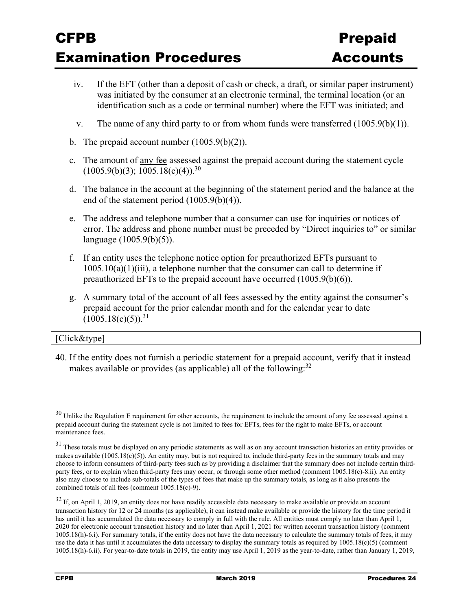- iv. If the EFT (other than a deposit of cash or check, a draft, or similar paper instrument) was initiated by the consumer at an electronic terminal, the terminal location (or an identification such as a code or terminal number) where the EFT was initiated; and
- v. The name of any third party to or from whom funds were transferred (1005.9(b)(1)).
- b. The prepaid account number  $(1005.9(b)(2))$ .
- c. The amount of any fee assessed against the prepaid account during the statement cycle  $(1005.9(b)(3); 1005.18(c)(4))$ .<sup>30</sup>
- d. The balance in the account at the beginning of the statement period and the balance at the end of the statement period (1005.9(b)(4)).
- e. The address and telephone number that a consumer can use for inquiries or notices of error. The address and phone number must be preceded by "Direct inquiries to" or similar language (1005.9(b)(5)).
- f. If an entity uses the telephone notice option for preauthorized EFTs pursuant to  $1005.10(a)(1)(iii)$ , a telephone number that the consumer can call to determine if preauthorized EFTs to the prepaid account have occurred (1005.9(b)(6)).
- g. A summary total of the account of all fees assessed by the entity against the consumer's prepaid account for the prior calendar month and for the calendar year to date  $(1005.18(c)(5))$ <sup>31</sup>

#### [Click&type]

 $\overline{a}$ 

40. If the entity does not furnish a periodic statement for a prepaid account, verify that it instead makes available or provides (as applicable) all of the following:  $32$ 

 $30$  Unlike the Regulation E requirement for other accounts, the requirement to include the amount of any fee assessed against a prepaid account during the statement cycle is not limited to fees for EFTs, fees for the right to make EFTs, or account maintenance fees.

<sup>&</sup>lt;sup>31</sup> These totals must be displayed on any periodic statements as well as on any account transaction histories an entity provides or makes available  $(1005.18(c)(5))$ . An entity may, but is not required to, include third-party fees in the summary totals and may choose to inform consumers of third-party fees such as by providing a disclaimer that the summary does not include certain thirdparty fees, or to explain when third-party fees may occur, or through some other method (comment 1005.18(c)-8.ii). An entity also may choose to include sub-totals of the types of fees that make up the summary totals, as long as it also presents the combined totals of all fees (comment 1005.18(c)-9).

 $32$  If, on April 1, 2019, an entity does not have readily accessible data necessary to make available or provide an account transaction history for 12 or 24 months (as applicable), it can instead make available or provide the history for the time period it has until it has accumulated the data necessary to comply in full with the rule. All entities must comply no later than April 1, 2020 for electronic account transaction history and no later than April 1, 2021 for written account transaction history (comment 1005.18(h)-6.i). For summary totals, if the entity does not have the data necessary to calculate the summary totals of fees, it may use the data it has until it accumulates the data necessary to display the summary totals as required by 1005.18(c)(5) (comment 1005.18(h)-6.ii). For year-to-date totals in 2019, the entity may use April 1, 2019 as the year-to-date, rather than January 1, 2019,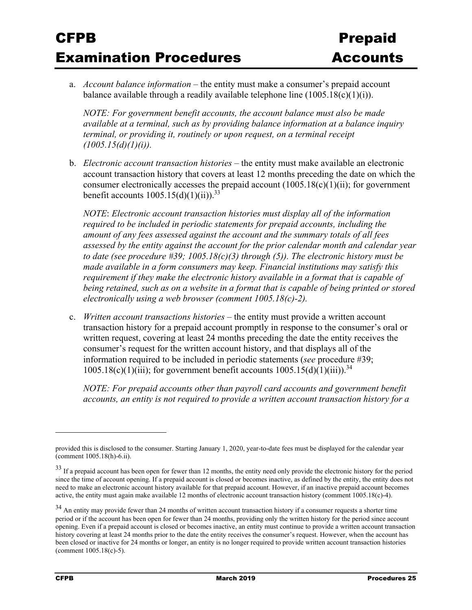a. *Account balance information –* the entity must make a consumer's prepaid account balance available through a readily available telephone line  $(1005.18(c)(1)(i))$ .

*NOTE: For government benefit accounts, the account balance must also be made available at a terminal, such as by providing balance information at a balance inquiry terminal, or providing it, routinely or upon request, on a terminal receipt (1005.15(d)(1)(i)).*

b. *Electronic account transaction histories* – the entity must make available an electronic account transaction history that covers at least 12 months preceding the date on which the consumer electronically accesses the prepaid account  $(1005.18(c)(1)(ii))$ ; for government benefit accounts  $1005.15(d)(1)(ii)$ .<sup>33</sup>

*NOTE*: *Electronic account transaction histories must display all of the information required to be included in periodic statements for prepaid accounts, including the amount of any fees assessed against the account and the summary totals of all fees assessed by the entity against the account for the prior calendar month and calendar year to date (see procedure #39; 1005.18(c)(3) through (5)). The electronic history must be made available in a form consumers may keep. Financial institutions may satisfy this requirement if they make the electronic history available in a format that is capable of*  being retained, such as on a website in a format that is capable of being printed or stored *electronically using a web browser (comment 1005.18(c)-2).*

c. *Written account transactions histories –* the entity must provide a written account transaction history for a prepaid account promptly in response to the consumer's oral or written request, covering at least 24 months preceding the date the entity receives the consumer's request for the written account history, and that displays all of the information required to be included in periodic statements (*see* procedure #39;  $1005.18(c)(1)(iii)$ ; for government benefit accounts  $1005.15(d)(1)(iii)$ .<sup>34</sup>

*NOTE: For prepaid accounts other than payroll card accounts and government benefit accounts, an entity is not required to provide a written account transaction history for a* 

provided this is disclosed to the consumer. Starting January 1, 2020, year-to-date fees must be displayed for the calendar year (comment 1005.18(h)-6.ii).

<sup>&</sup>lt;sup>33</sup> If a prepaid account has been open for fewer than 12 months, the entity need only provide the electronic history for the period since the time of account opening. If a prepaid account is closed or becomes inactive, as defined by the entity, the entity does not need to make an electronic account history available for that prepaid account. However, if an inactive prepaid account becomes active, the entity must again make available 12 months of electronic account transaction history (comment 1005.18(c)-4).

<sup>&</sup>lt;sup>34</sup> An entity may provide fewer than 24 months of written account transaction history if a consumer requests a shorter time period or if the account has been open for fewer than 24 months, providing only the written history for the period since account opening. Even if a prepaid account is closed or becomes inactive, an entity must continue to provide a written account transaction history covering at least 24 months prior to the date the entity receives the consumer's request. However, when the account has been closed or inactive for 24 months or longer, an entity is no longer required to provide written account transaction histories (comment 1005.18(c)-5).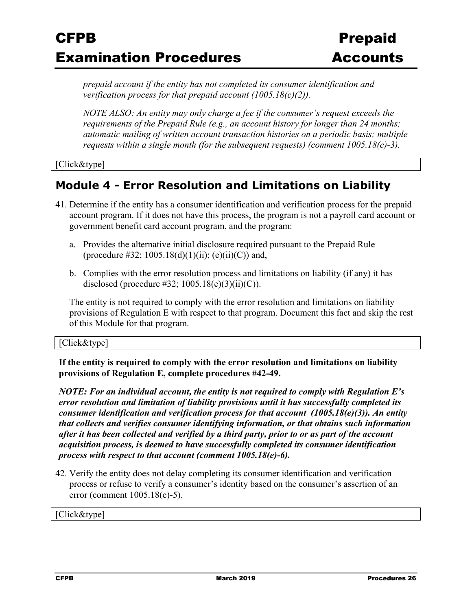*prepaid account if the entity has not completed its consumer identification and verification process for that prepaid account (1005.18(c)(2)).* 

*NOTE ALSO: An entity may only charge a fee if the consumer's request exceeds the requirements of the Prepaid Rule (e.g., an account history for longer than 24 months; automatic mailing of written account transaction histories on a periodic basis; multiple requests within a single month (for the subsequent requests) (comment 1005.18(c)-3).* 

[Click&type]

## **Module 4 - Error Resolution and Limitations on Liability**

- 41. Determine if the entity has a consumer identification and verification process for the prepaid account program. If it does not have this process, the program is not a payroll card account or government benefit card account program, and the program:
	- a. Provides the alternative initial disclosure required pursuant to the Prepaid Rule (procedure #32; 1005.18(d)(1)(ii); (e)(ii)(C)) and,
	- b. Complies with the error resolution process and limitations on liability (if any) it has disclosed (procedure  $\#32$ ; 1005.18(e)(3)(ii)(C)).

The entity is not required to comply with the error resolution and limitations on liability provisions of Regulation E with respect to that program. Document this fact and skip the rest of this Module for that program.

#### [Click&type]

**If the entity is required to comply with the error resolution and limitations on liability provisions of Regulation E, complete procedures #42-49.** 

*NOTE: For an individual account, the entity is not required to comply with Regulation E's error resolution and limitation of liability provisions until it has successfully completed its consumer identification and verification process for that account (1005.18(e)(3)). An entity that collects and verifies consumer identifying information, or that obtains such information after it has been collected and verified by a third party, prior to or as part of the account acquisition process, is deemed to have successfully completed its consumer identification process with respect to that account (comment 1005.18(e)-6).* 

42. Verify the entity does not delay completing its consumer identification and verification process or refuse to verify a consumer's identity based on the consumer's assertion of an error (comment 1005.18(e)-5).

[Click&type]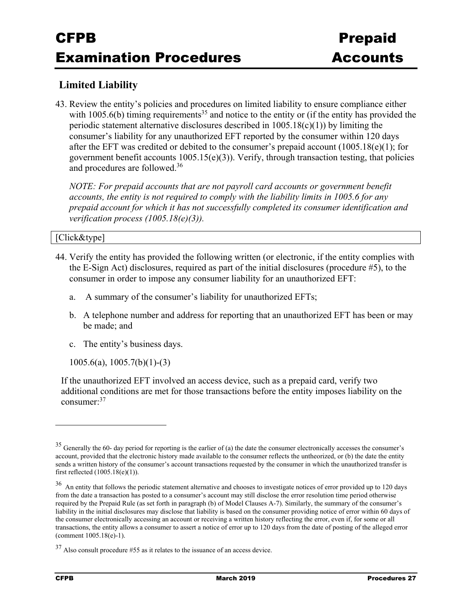### **Limited Liability**

43. Review the entity's policies and procedures on limited liability to ensure compliance either with 1005.6(b) timing requirements<sup>35</sup> and notice to the entity or (if the entity has provided the periodic statement alternative disclosures described in  $1005.18(c)(1)$ ) by limiting the consumer's liability for any unauthorized EFT reported by the consumer within 120 days after the EFT was credited or debited to the consumer's prepaid account (1005.18(e)(1); for government benefit accounts 1005.15(e)(3)). Verify, through transaction testing, that policies and procedures are followed.36

*NOTE: For prepaid accounts that are not payroll card accounts or government benefit accounts, the entity is not required to comply with the liability limits in 1005.6 for any prepaid account for which it has not successfully completed its consumer identification and verification process (1005.18(e)(3)).*

#### [Click&type]

- 44. Verify the entity has provided the following written (or electronic, if the entity complies with the E-Sign Act) disclosures, required as part of the initial disclosures (procedure #5), to the consumer in order to impose any consumer liability for an unauthorized EFT:
	- a. A summary of the consumer's liability for unauthorized EFTs;
	- b. A telephone number and address for reporting that an unauthorized EFT has been or may be made; and
	- c. The entity's business days.
	- 1005.6(a), 1005.7(b)(1)-(3)

If the unauthorized EFT involved an access device, such as a prepaid card, verify two additional conditions are met for those transactions before the entity imposes liability on the consumer:<sup>37</sup>

 $35$  Generally the 60- day period for reporting is the earlier of (a) the date the consumer electronically accesses the consumer's account, provided that the electronic history made available to the consumer reflects the untheorized, or (b) the date the entity sends a written history of the consumer's account transactions requested by the consumer in which the unauthorized transfer is first reflected (1005.18(e)(1)).

<sup>&</sup>lt;sup>36</sup> An entity that follows the periodic statement alternative and chooses to investigate notices of error provided up to 120 days from the date a transaction has posted to a consumer's account may still disclose the error resolution time period otherwise required by the Prepaid Rule (as set forth in paragraph (b) of Model Clauses A-7). Similarly, the summary of the consumer's liability in the initial disclosures may disclose that liability is based on the consumer providing notice of error within 60 days of the consumer electronically accessing an account or receiving a written history reflecting the error, even if, for some or all transactions, the entity allows a consumer to assert a notice of error up to 120 days from the date of posting of the alleged error (comment 1005.18(e)-1).

<sup>37</sup> Also consult procedure #55 as it relates to the issuance of an access device.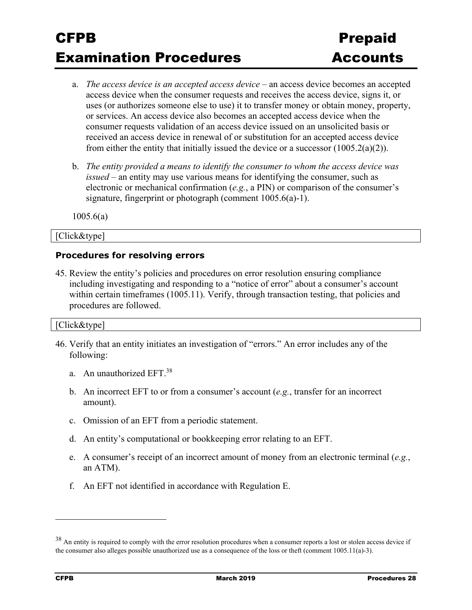- a. *The access device is an accepted access device* an access device becomes an accepted access device when the consumer requests and receives the access device, signs it, or uses (or authorizes someone else to use) it to transfer money or obtain money, property, or services. An access device also becomes an accepted access device when the consumer requests validation of an access device issued on an unsolicited basis or received an access device in renewal of or substitution for an accepted access device from either the entity that initially issued the device or a successor  $(1005.2(a)(2))$ .
- b. *The entity provided a means to identify the consumer to whom the access device was issued –* an entity may use various means for identifying the consumer, such as electronic or mechanical confirmation (*e.g.*, a PIN) or comparison of the consumer's signature, fingerprint or photograph (comment 1005.6(a)-1).

1005.6(a)

#### [Click&type]

#### **Procedures for resolving errors**

45. Review the entity's policies and procedures on error resolution ensuring compliance including investigating and responding to a "notice of error" about a consumer's account within certain timeframes (1005.11). Verify, through transaction testing, that policies and procedures are followed.

#### [Click&type]

- 46. Verify that an entity initiates an investigation of "errors." An error includes any of the following:
	- a. An unauthorized EFT.38
	- b. An incorrect EFT to or from a consumer's account (*e.g.*, transfer for an incorrect amount).
	- c. Omission of an EFT from a periodic statement.
	- d. An entity's computational or bookkeeping error relating to an EFT.
	- e. A consumer's receipt of an incorrect amount of money from an electronic terminal (*e.g.*, an ATM).
	- f. An EFT not identified in accordance with Regulation E.

<sup>&</sup>lt;sup>38</sup> An entity is required to comply with the error resolution procedures when a consumer reports a lost or stolen access device if the consumer also alleges possible unauthorized use as a consequence of the loss or theft (comment 1005.11(a)-3).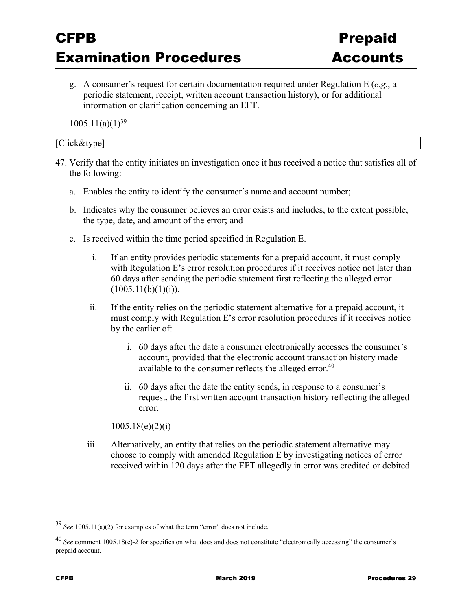g. A consumer's request for certain documentation required under Regulation E (*e.g.*, a periodic statement, receipt, written account transaction history), or for additional information or clarification concerning an EFT.

 $1005.11(a)(1)^{39}$ 

#### [Click&type]

- 47. Verify that the entity initiates an investigation once it has received a notice that satisfies all of the following:
	- a. Enables the entity to identify the consumer's name and account number;
	- b. Indicates why the consumer believes an error exists and includes, to the extent possible, the type, date, and amount of the error; and
	- c. Is received within the time period specified in Regulation E.
		- i. If an entity provides periodic statements for a prepaid account, it must comply with Regulation E's error resolution procedures if it receives notice not later than 60 days after sending the periodic statement first reflecting the alleged error  $(1005.11(b)(1)(i)).$
		- ii. If the entity relies on the periodic statement alternative for a prepaid account, it must comply with Regulation E's error resolution procedures if it receives notice by the earlier of:
			- i. 60 days after the date a consumer electronically accesses the consumer's account, provided that the electronic account transaction history made available to the consumer reflects the alleged error.<sup>40</sup>
			- ii. 60 days after the date the entity sends, in response to a consumer's request, the first written account transaction history reflecting the alleged error.

1005.18(e)(2)(i)

iii. Alternatively, an entity that relies on the periodic statement alternative may choose to comply with amended Regulation E by investigating notices of error received within 120 days after the EFT allegedly in error was credited or debited

<sup>39</sup> *See* 1005.11(a)(2) for examples of what the term "error" does not include.

<sup>40</sup> *See* comment 1005.18(e)-2 for specifics on what does and does not constitute "electronically accessing" the consumer's prepaid account.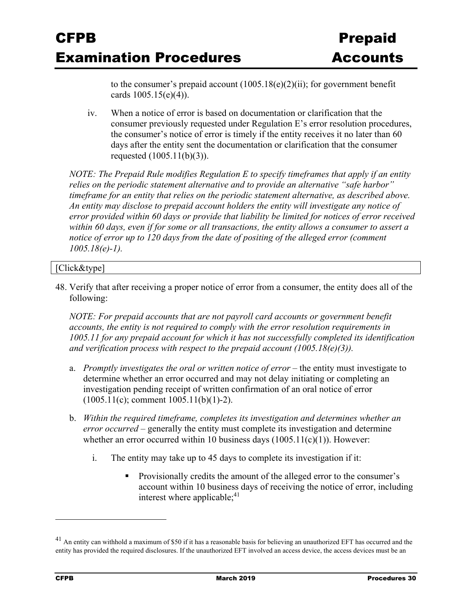to the consumer's prepaid account  $(1005.18(e)(2)(ii)$ ; for government benefit cards 1005.15(e)(4)).

iv. When a notice of error is based on documentation or clarification that the consumer previously requested under Regulation E's error resolution procedures, the consumer's notice of error is timely if the entity receives it no later than 60 days after the entity sent the documentation or clarification that the consumer requested (1005.11(b)(3)).

*NOTE: The Prepaid Rule modifies Regulation E to specify timeframes that apply if an entity relies on the periodic statement alternative and to provide an alternative "safe harbor" timeframe for an entity that relies on the periodic statement alternative, as described above. An entity may disclose to prepaid account holders the entity will investigate any notice of error provided within 60 days or provide that liability be limited for notices of error received within 60 days, even if for some or all transactions, the entity allows a consumer to assert a notice of error up to 120 days from the date of positing of the alleged error (comment 1005.18(e)-1).* 

#### [Click&type]

48. Verify that after receiving a proper notice of error from a consumer, the entity does all of the following:

*NOTE: For prepaid accounts that are not payroll card accounts or government benefit accounts, the entity is not required to comply with the error resolution requirements in 1005.11 for any prepaid account for which it has not successfully completed its identification and verification process with respect to the prepaid account (1005.18(e)(3)).*

- a. *Promptly investigates the oral or written notice of error* the entity must investigate to determine whether an error occurred and may not delay initiating or completing an investigation pending receipt of written confirmation of an oral notice of error  $(1005.11(c);$  comment  $1005.11(b)(1)-2)$ .
- b. *Within the required timeframe, completes its investigation and determines whether an error occurred* – generally the entity must complete its investigation and determine whether an error occurred within 10 business days  $(1005.11(c)(1))$ . However:
	- i. The entity may take up to 45 days to complete its investigation if it:
		- Provisionally credits the amount of the alleged error to the consumer's account within 10 business days of receiving the notice of error, including interest where applicable;<sup>41</sup>

 $^{41}$  An entity can withhold a maximum of \$50 if it has a reasonable basis for believing an unauthorized EFT has occurred and the entity has provided the required disclosures. If the unauthorized EFT involved an access device, the access devices must be an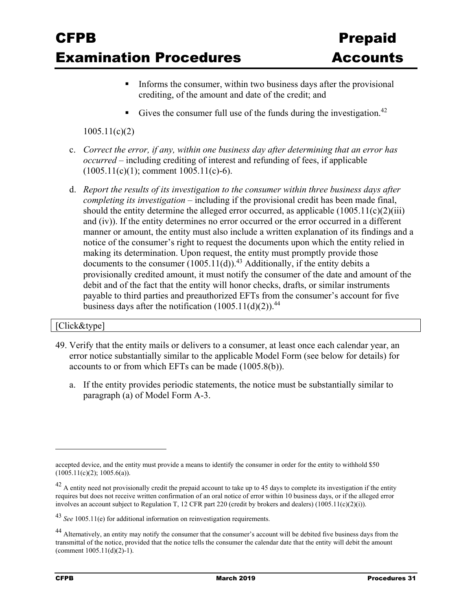- Informs the consumer, within two business days after the provisional crediting, of the amount and date of the credit; and
- Gives the consumer full use of the funds during the investigation.<sup>42</sup>

### 1005.11(c)(2)

- c. *Correct the error, if any, within one business day after determining that an error has occurred* – including crediting of interest and refunding of fees, if applicable  $(1005.11(c)(1))$ ; comment 1005.11(c)-6).
- d. *Report the results of its investigation to the consumer within three business days after completing its investigation* – including if the provisional credit has been made final, should the entity determine the alleged error occurred, as applicable  $(1005.11(c)(2)(iii))$ and (iv)). If the entity determines no error occurred or the error occurred in a different manner or amount, the entity must also include a written explanation of its findings and a notice of the consumer's right to request the documents upon which the entity relied in making its determination. Upon request, the entity must promptly provide those documents to the consumer  $(1005.11(d))$ .<sup>43</sup> Additionally, if the entity debits a provisionally credited amount, it must notify the consumer of the date and amount of the debit and of the fact that the entity will honor checks, drafts, or similar instruments payable to third parties and preauthorized EFTs from the consumer's account for five business days after the notification  $(1005.11(d)(2))$ .<sup>44</sup>

#### [Click&type]

- 49. Verify that the entity mails or delivers to a consumer, at least once each calendar year, an error notice substantially similar to the applicable Model Form (see below for details) for accounts to or from which EFTs can be made (1005.8(b)).
	- a. If the entity provides periodic statements, the notice must be substantially similar to paragraph (a) of Model Form A-3.

accepted device, and the entity must provide a means to identify the consumer in order for the entity to withhold \$50  $(1005.11(c)(2); 1005.6(a)).$ 

 $42$  A entity need not provisionally credit the prepaid account to take up to 45 days to complete its investigation if the entity requires but does not receive written confirmation of an oral notice of error within 10 business days, or if the alleged error involves an account subject to Regulation T, 12 CFR part 220 (credit by brokers and dealers) (1005.11(c)(2)(i)).

<sup>43</sup> *See* 1005.11(e) for additional information on reinvestigation requirements.

<sup>&</sup>lt;sup>44</sup> Alternatively, an entity may notify the consumer that the consumer's account will be debited five business days from the transmittal of the notice, provided that the notice tells the consumer the calendar date that the entity will debit the amount (comment 1005.11(d)(2)-1).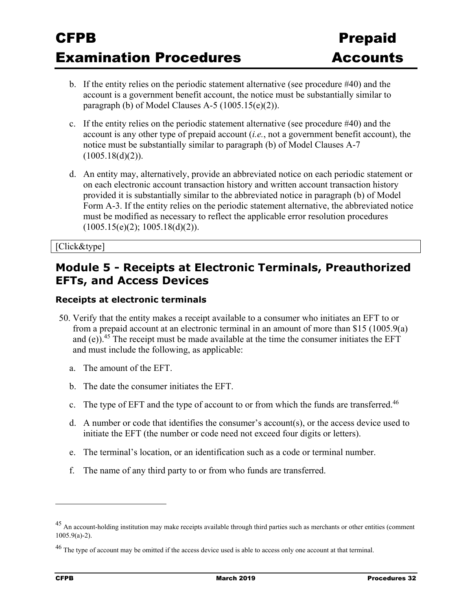- b. If the entity relies on the periodic statement alternative (see procedure #40) and the account is a government benefit account, the notice must be substantially similar to paragraph (b) of Model Clauses A-5  $(1005.15(e)(2))$ .
- c. If the entity relies on the periodic statement alternative (see procedure #40) and the account is any other type of prepaid account (*i.e.*, not a government benefit account), the notice must be substantially similar to paragraph (b) of Model Clauses A-7  $(1005.18(d)(2)).$
- d. An entity may, alternatively, provide an abbreviated notice on each periodic statement or on each electronic account transaction history and written account transaction history provided it is substantially similar to the abbreviated notice in paragraph (b) of Model Form A-3. If the entity relies on the periodic statement alternative, the abbreviated notice must be modified as necessary to reflect the applicable error resolution procedures (1005.15(e)(2); 1005.18(d)(2)).

[Click&type]

### **Module 5 - Receipts at Electronic Terminals, Preauthorized EFTs, and Access Devices**

#### **Receipts at electronic terminals**

- 50. Verify that the entity makes a receipt available to a consumer who initiates an EFT to or from a prepaid account at an electronic terminal in an amount of more than \$15 (1005.9(a) and (e)).<sup>45</sup> The receipt must be made available at the time the consumer initiates the EFT and must include the following, as applicable:
	- a. The amount of the EFT.
	- b. The date the consumer initiates the EFT.
	- c. The type of EFT and the type of account to or from which the funds are transferred.<sup>46</sup>
	- d. A number or code that identifies the consumer's account(s), or the access device used to initiate the EFT (the number or code need not exceed four digits or letters).
	- e. The terminal's location, or an identification such as a code or terminal number.
	- f. The name of any third party to or from who funds are transferred.

<u>.</u>

<sup>&</sup>lt;sup>45</sup> An account-holding institution may make receipts available through third parties such as merchants or other entities (comment 1005.9(a)-2).

<sup>&</sup>lt;sup>46</sup> The type of account may be omitted if the access device used is able to access only one account at that terminal.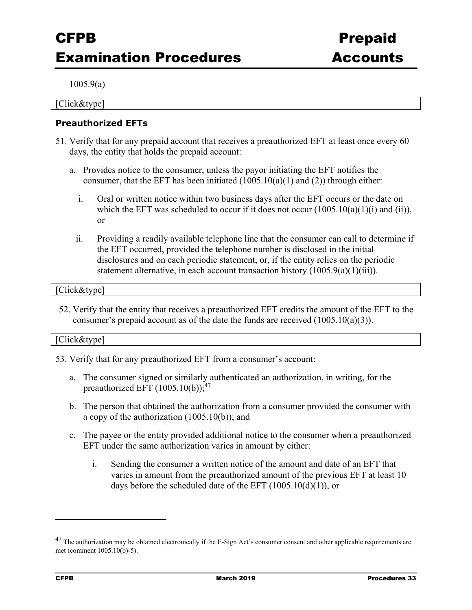1005.9(a)

[Click&type]

### **Preauthorized EFTs**

- 51. Verify that for any prepaid account that receives a preauthorized EFT at least once every 60 days, the entity that holds the prepaid account:
	- a. Provides notice to the consumer, unless the payor initiating the EFT notifies the consumer, that the EFT has been initiated  $(1005.10(a)(1)$  and  $(2))$  through either:
		- i. Oral or written notice within two business days after the EFT occurs or the date on which the EFT was scheduled to occur if it does not occur  $(1005.10(a)(1)(i)$  and  $(ii))$ , or
		- ii. Providing a readily available telephone line that the consumer can call to determine if the EFT occurred, provided the telephone number is disclosed in the initial disclosures and on each periodic statement, or, if the entity relies on the periodic statement alternative, in each account transaction history  $(1005.9(a)(1)(iii))$ .

#### [Click&type]

52. Verify that the entity that receives a preauthorized EFT credits the amount of the EFT to the consumer's prepaid account as of the date the funds are received (1005.10(a)(3)).

#### [Click&type]

- 53. Verify that for any preauthorized EFT from a consumer's account:
	- a. The consumer signed or similarly authenticated an authorization, in writing, for the preauthorized EFT  $(1005.10(b))$ ;<sup>47</sup>
	- b. The person that obtained the authorization from a consumer provided the consumer with a copy of the authorization (1005.10(b)); and
	- c. The payee or the entity provided additional notice to the consumer when a preauthorized EFT under the same authorization varies in amount by either:
		- i. Sending the consumer a written notice of the amount and date of an EFT that varies in amount from the preauthorized amount of the previous EFT at least 10 days before the scheduled date of the EFT  $(1005.10(d)(1))$ , or

<sup>&</sup>lt;sup>47</sup> The authorization may be obtained electronically if the E-Sign Act's consumer consent and other applicable requirements are met (comment 1005.10(b)-5).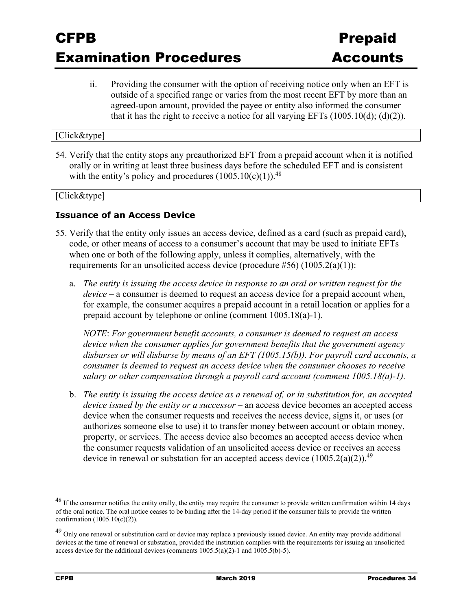ii. Providing the consumer with the option of receiving notice only when an EFT is outside of a specified range or varies from the most recent EFT by more than an agreed-upon amount, provided the payee or entity also informed the consumer that it has the right to receive a notice for all varying EFTs  $(1005.10(d); (d)(2))$ .

#### [Click&type]

54. Verify that the entity stops any preauthorized EFT from a prepaid account when it is notified orally or in writing at least three business days before the scheduled EFT and is consistent with the entity's policy and procedures  $(1005.10(c)(1))$ <sup>48</sup>

#### [Click&type]

#### **Issuance of an Access Device**

- 55. Verify that the entity only issues an access device, defined as a card (such as prepaid card), code, or other means of access to a consumer's account that may be used to initiate EFTs when one or both of the following apply, unless it complies, alternatively, with the requirements for an unsolicited access device (procedure #56)  $(1005.2(a)(1))$ :
	- a. *The entity is issuing the access device in response to an oral or written request for the device* – a consumer is deemed to request an access device for a prepaid account when, for example, the consumer acquires a prepaid account in a retail location or applies for a prepaid account by telephone or online (comment 1005.18(a)-1).

*NOTE*: *For government benefit accounts, a consumer is deemed to request an access device when the consumer applies for government benefits that the government agency disburses or will disburse by means of an EFT (1005.15(b)). For payroll card accounts, a consumer is deemed to request an access device when the consumer chooses to receive salary or other compensation through a payroll card account (comment 1005.18(a)-1).* 

b. *The entity is issuing the access device as a renewal of, or in substitution for, an accepted device issued by the entity or a successor* – an access device becomes an accepted access device when the consumer requests and receives the access device, signs it, or uses (or authorizes someone else to use) it to transfer money between account or obtain money, property, or services. The access device also becomes an accepted access device when the consumer requests validation of an unsolicited access device or receives an access device in renewal or substation for an accepted access device  $(1005.2(a)(2))$ .<sup>49</sup>

<sup>&</sup>lt;sup>48</sup> If the consumer notifies the entity orally, the entity may require the consumer to provide written confirmation within 14 days of the oral notice. The oral notice ceases to be binding after the 14-day period if the consumer fails to provide the written confirmation (1005.10(c)(2)).

<sup>&</sup>lt;sup>49</sup> Only one renewal or substitution card or device may replace a previously issued device. An entity may provide additional devices at the time of renewal or substation, provided the institution complies with the requirements for issuing an unsolicited access device for the additional devices (comments  $1005.5(a)(2)$ -1 and  $1005.5(b)$ -5).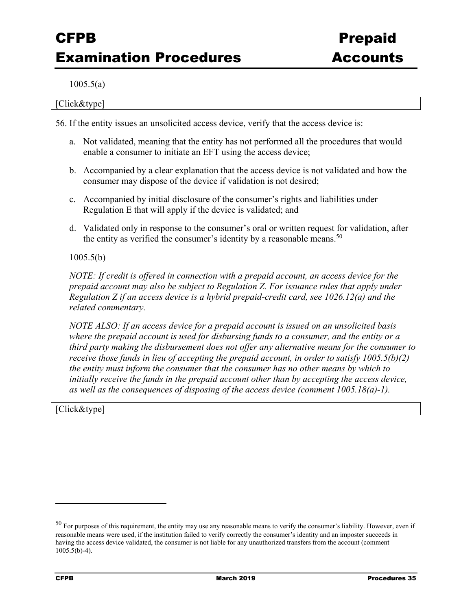1005.5(a)

[Click&type]

56. If the entity issues an unsolicited access device, verify that the access device is:

- a. Not validated, meaning that the entity has not performed all the procedures that would enable a consumer to initiate an EFT using the access device;
- b. Accompanied by a clear explanation that the access device is not validated and how the consumer may dispose of the device if validation is not desired;
- c. Accompanied by initial disclosure of the consumer's rights and liabilities under Regulation E that will apply if the device is validated; and
- d. Validated only in response to the consumer's oral or written request for validation, after the entity as verified the consumer's identity by a reasonable means.<sup>50</sup>

#### 1005.5(b)

*NOTE: If credit is offered in connection with a prepaid account, an access device for the prepaid account may also be subject to Regulation Z. For issuance rules that apply under Regulation Z if an access device is a hybrid prepaid-credit card, see 1026.12(a) and the related commentary.* 

*NOTE ALSO: If an access device for a prepaid account is issued on an unsolicited basis where the prepaid account is used for disbursing funds to a consumer, and the entity or a third party making the disbursement does not offer any alternative means for the consumer to receive those funds in lieu of accepting the prepaid account, in order to satisfy 1005.5(b)(2) the entity must inform the consumer that the consumer has no other means by which to*  initially receive the funds in the prepaid account other than by accepting the access device, *as well as the consequences of disposing of the access device (comment 1005.18(a)-1).* 

Click&type]

<sup>50</sup> For purposes of this requirement, the entity may use any reasonable means to verify the consumer's liability. However, even if reasonable means were used, if the institution failed to verify correctly the consumer's identity and an imposter succeeds in having the access device validated, the consumer is not liable for any unauthorized transfers from the account (comment 1005.5(b)-4).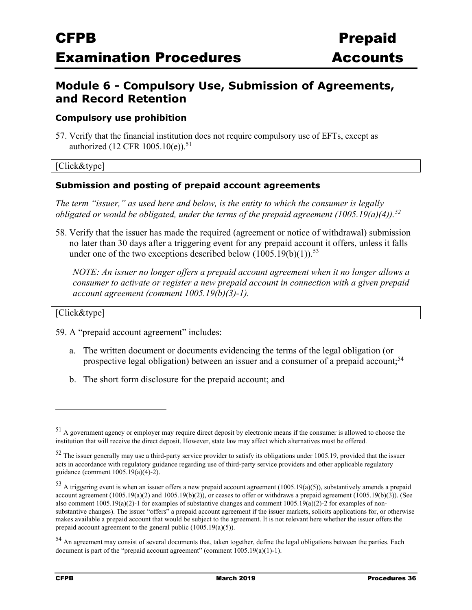### **Module 6 - Compulsory Use, Submission of Agreements, and Record Retention**

#### **Compulsory use prohibition**

57. Verify that the financial institution does not require compulsory use of EFTs, except as authorized  $(12 \text{ CFR } 1005.10(e)).$ <sup>51</sup>

### [Click&type]

#### **Submission and posting of prepaid account agreements**

*The term "issuer," as used here and below, is the entity to which the consumer is legally obligated or would be obligated, under the terms of the prepaid agreement (1005.19(a)(4)).52*

58. Verify that the issuer has made the required (agreement or notice of withdrawal) submission no later than 30 days after a triggering event for any prepaid account it offers, unless it falls under one of the two exceptions described below  $(1005.19(b)(1))$ .<sup>53</sup>

*NOTE: An issuer no longer offers a prepaid account agreement when it no longer allows a consumer to activate or register a new prepaid account in connection with a given prepaid account agreement (comment 1005.19(b)(3)-1).* 

#### [Click&type]

59. A "prepaid account agreement" includes:

- a. The written document or documents evidencing the terms of the legal obligation (or prospective legal obligation) between an issuer and a consumer of a prepaid account;<sup>54</sup>
- b. The short form disclosure for the prepaid account; and

<sup>51</sup> A government agency or employer may require direct deposit by electronic means if the consumer is allowed to choose the institution that will receive the direct deposit. However, state law may affect which alternatives must be offered.

 $52$  The issuer generally may use a third-party service provider to satisfy its obligations under 1005.19, provided that the issuer acts in accordance with regulatory guidance regarding use of third-party service providers and other applicable regulatory guidance (comment 1005.19(a)(4)-2).

 $53$  A triggering event is when an issuer offers a new prepaid account agreement (1005.19(a)(5)), substantively amends a prepaid account agreement  $(1005.19(a)(2)$  and  $1005.19(b)(2)$ ), or ceases to offer or withdraws a prepaid agreement  $(1005.19(b)(3))$ . (See also comment 1005.19(a)(2)-1 for examples of substantive changes and comment 1005.19(a)(2)-2 for examples of nonsubstantive changes). The issuer "offers" a prepaid account agreement if the issuer markets, solicits applications for, or otherwise makes available a prepaid account that would be subject to the agreement. It is not relevant here whether the issuer offers the prepaid account agreement to the general public  $(1005.19(a)(5))$ .

<sup>54</sup> An agreement may consist of several documents that, taken together, define the legal obligations between the parties. Each document is part of the "prepaid account agreement" (comment 1005.19(a)(1)-1).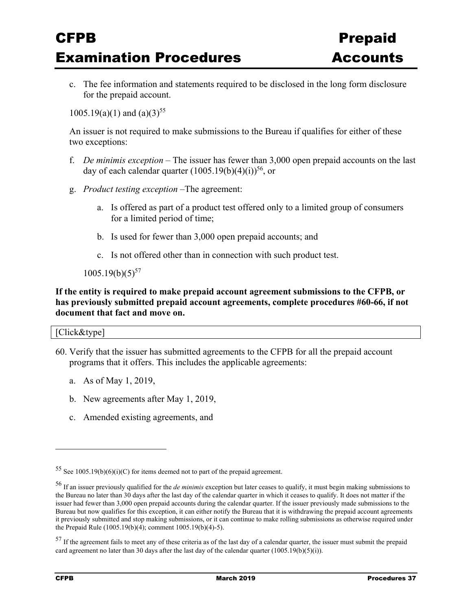c. The fee information and statements required to be disclosed in the long form disclosure for the prepaid account.

 $1005.19(a)(1)$  and  $(a)(3)^{55}$ 

An issuer is not required to make submissions to the Bureau if qualifies for either of these two exceptions:

- f. *De minimis exception* The issuer has fewer than 3,000 open prepaid accounts on the last day of each calendar quarter  $(1005.19(b)(4)(i))^{56}$ , or
- g. *Product testing exception* –The agreement:
	- a. Is offered as part of a product test offered only to a limited group of consumers for a limited period of time;
	- b. Is used for fewer than 3,000 open prepaid accounts; and
	- c. Is not offered other than in connection with such product test.

 $1005.19(b)(5)^{57}$ 

### **If the entity is required to make prepaid account agreement submissions to the CFPB, or has previously submitted prepaid account agreements, complete procedures #60-66, if not document that fact and move on.**

#### [Click&type]

- 60. Verify that the issuer has submitted agreements to the CFPB for all the prepaid account programs that it offers. This includes the applicable agreements:
	- a. As of May 1, 2019,
	- b. New agreements after May 1, 2019,
	- c. Amended existing agreements, and

<sup>55</sup> See 1005.19(b)(6)(i)(C) for items deemed not to part of the prepaid agreement.

<sup>56</sup> If an issuer previously qualified for the *de minimis* exception but later ceases to qualify, it must begin making submissions to the Bureau no later than 30 days after the last day of the calendar quarter in which it ceases to qualify. It does not matter if the issuer had fewer than 3,000 open prepaid accounts during the calendar quarter. If the issuer previously made submissions to the Bureau but now qualifies for this exception, it can either notify the Bureau that it is withdrawing the prepaid account agreements it previously submitted and stop making submissions, or it can continue to make rolling submissions as otherwise required under the Prepaid Rule (1005.19(b)(4); comment 1005.19(b)(4)-5).

 $57$  If the agreement fails to meet any of these criteria as of the last day of a calendar quarter, the issuer must submit the prepaid card agreement no later than 30 days after the last day of the calendar quarter  $(1005.19(b)(5)(i))$ .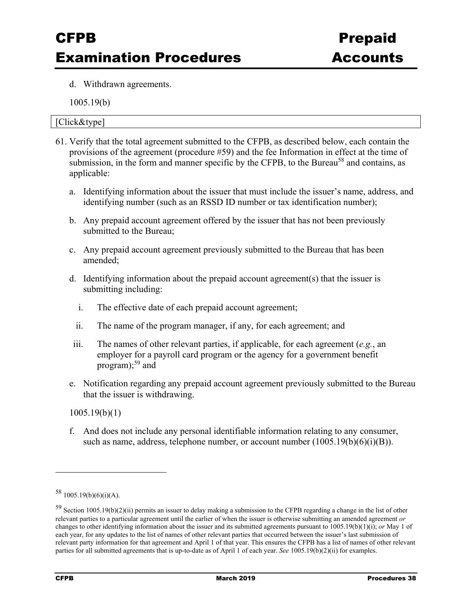d. Withdrawn agreements.

1005.19(b)

#### [Click&type]

- 61. Verify that the total agreement submitted to the CFPB, as described below, each contain the provisions of the agreement (procedure #59) and the fee Information in effect at the time of submission, in the form and manner specific by the CFPB, to the Bureau<sup>58</sup> and contains, as applicable:
	- a. Identifying information about the issuer that must include the issuer's name, address, and identifying number (such as an RSSD ID number or tax identification number);
	- b. Any prepaid account agreement offered by the issuer that has not been previously submitted to the Bureau;
	- c. Any prepaid account agreement previously submitted to the Bureau that has been amended;
	- d. Identifying information about the prepaid account agreement(s) that the issuer is submitting including:
		- i. The effective date of each prepaid account agreement;
		- ii. The name of the program manager, if any, for each agreement; and
	- iii. The names of other relevant parties, if applicable, for each agreement (*e.g.*, an employer for a payroll card program or the agency for a government benefit program); $59$  and
	- e. Notification regarding any prepaid account agreement previously submitted to the Bureau that the issuer is withdrawing.

1005.19(b)(1)

f. And does not include any personal identifiable information relating to any consumer, such as name, address, telephone number, or account number  $(1005.19(b)(6)(i)(B))$ .

 $58$  1005.19(b)(6)(i)(A).

<sup>59</sup> Section 1005.19(b)(2)(ii) permits an issuer to delay making a submission to the CFPB regarding a change in the list of other relevant parties to a particular agreement until the earlier of when the issuer is otherwise submitting an amended agreement *or* changes to other identifying information about the issuer and its submitted agreements pursuant to 1005.19(b)(1)(i); *or* May 1 of each year, for any updates to the list of names of other relevant parties that occurred between the issuer's last submission of relevant party information for that agreement and April 1 of that year. This ensures the CFPB has a list of names of other relevant parties for all submitted agreements that is up-to-date as of April 1 of each year. *See* 1005.19(b)(2)(ii) for examples.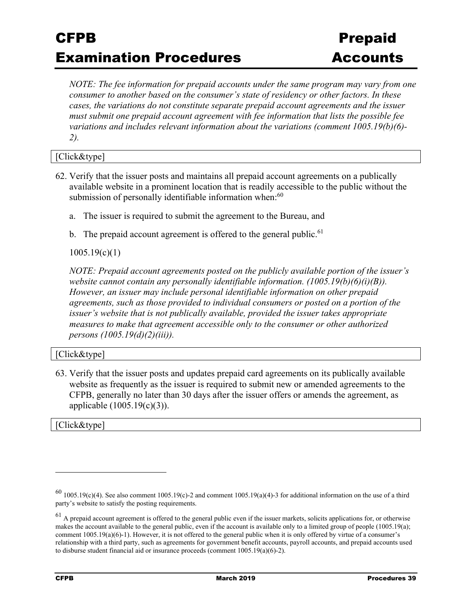*NOTE: The fee information for prepaid accounts under the same program may vary from one consumer to another based on the consumer's state of residency or other factors. In these cases, the variations do not constitute separate prepaid account agreements and the issuer must submit one prepaid account agreement with fee information that lists the possible fee variations and includes relevant information about the variations (comment 1005.19(b)(6)- 2).* 

[Click&type]

- 62. Verify that the issuer posts and maintains all prepaid account agreements on a publically available website in a prominent location that is readily accessible to the public without the submission of personally identifiable information when:<sup>60</sup>
	- a. The issuer is required to submit the agreement to the Bureau, and
	- b. The prepaid account agreement is offered to the general public.  $61$

1005.19(c)(1)

*NOTE: Prepaid account agreements posted on the publicly available portion of the issuer's website cannot contain any personally identifiable information. (1005.19(b)(6)(i)(B)). However, an issuer may include personal identifiable information on other prepaid agreements, such as those provided to individual consumers or posted on a portion of the issuer's website that is not publically available, provided the issuer takes appropriate measures to make that agreement accessible only to the consumer or other authorized persons (1005.19(d)(2)(iii)).* 

#### [Click&type]

63. Verify that the issuer posts and updates prepaid card agreements on its publically available website as frequently as the issuer is required to submit new or amended agreements to the CFPB, generally no later than 30 days after the issuer offers or amends the agreement, as applicable (1005.19(c)(3)).

[Click&type]

 $60$  1005.19(c)(4). See also comment 1005.19(c)-2 and comment 1005.19(a)(4)-3 for additional information on the use of a third party's website to satisfy the posting requirements.

 $61$  A prepaid account agreement is offered to the general public even if the issuer markets, solicits applications for, or otherwise makes the account available to the general public, even if the account is available only to a limited group of people (1005.19(a); comment  $1005.19(a)(6)-1$ ). However, it is not offered to the general public when it is only offered by virtue of a consumer's relationship with a third party, such as agreements for government benefit accounts, payroll accounts, and prepaid accounts used to disburse student financial aid or insurance proceeds (comment 1005.19(a)(6)-2).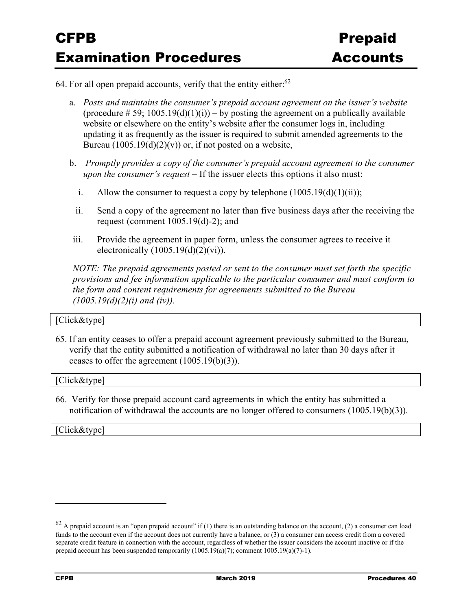64. For all open prepaid accounts, verify that the entity either: $62$ 

- a. *Posts and maintains the consumer's prepaid account agreement on the issuer's website* (procedure  $\# 59$ ; 1005.19(d)(1)(i)) – by posting the agreement on a publically available website or elsewhere on the entity's website after the consumer logs in, including updating it as frequently as the issuer is required to submit amended agreements to the Bureau  $(1005.19(d)(2)(v))$  or, if not posted on a website,
- b. *Promptly provides a copy of the consumer's prepaid account agreement to the consumer upon the consumer's request* – If the issuer elects this options it also must:
	- i. Allow the consumer to request a copy by telephone  $(1005.19(d)(1)(ii))$ ;
	- ii. Send a copy of the agreement no later than five business days after the receiving the request (comment  $1005.19(d)-2$ ); and
- iii. Provide the agreement in paper form, unless the consumer agrees to receive it electronically  $(1005.19(d)(2)(vi))$ .

*NOTE: The prepaid agreements posted or sent to the consumer must set forth the specific provisions and fee information applicable to the particular consumer and must conform to the form and content requirements for agreements submitted to the Bureau (1005.19(d)(2)(i) and (iv)).* 

#### [Click&type]

65. If an entity ceases to offer a prepaid account agreement previously submitted to the Bureau, verify that the entity submitted a notification of withdrawal no later than 30 days after it ceases to offer the agreement (1005.19(b)(3)).

#### [Click&type]

66. Verify for those prepaid account card agreements in which the entity has submitted a notification of withdrawal the accounts are no longer offered to consumers (1005.19(b)(3)).

[Click&type]

 $62$  A prepaid account is an "open prepaid account" if (1) there is an outstanding balance on the account, (2) a consumer can load funds to the account even if the account does not currently have a balance, or (3) a consumer can access credit from a covered separate credit feature in connection with the account, regardless of whether the issuer considers the account inactive or if the prepaid account has been suspended temporarily  $(1005.19(a)(7))$ ; comment  $1005.19(a)(7)$ -1).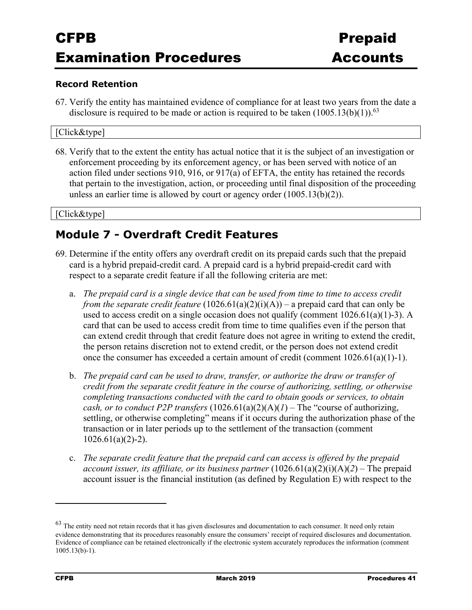#### **Record Retention**

67. Verify the entity has maintained evidence of compliance for at least two years from the date a disclosure is required to be made or action is required to be taken  $(1005.13(b)(1))$ .<sup>63</sup>

#### [Click&type]

68. Verify that to the extent the entity has actual notice that it is the subject of an investigation or enforcement proceeding by its enforcement agency, or has been served with notice of an action filed under sections 910, 916, or 917(a) of EFTA, the entity has retained the records that pertain to the investigation, action, or proceeding until final disposition of the proceeding unless an earlier time is allowed by court or agency order (1005.13(b)(2)).

#### [Click&type]

### **Module 7 - Overdraft Credit Features**

- 69. Determine if the entity offers any overdraft credit on its prepaid cards such that the prepaid card is a hybrid prepaid-credit card. A prepaid card is a hybrid prepaid-credit card with respect to a separate credit feature if all the following criteria are met:
	- a. *The prepaid card is a single device that can be used from time to time to access credit from the separate credit feature*  $(1026.61(a)(2)(i)(A))$  – a prepaid card that can only be used to access credit on a single occasion does not qualify (comment  $1026.61(a)(1)-3$ ). A card that can be used to access credit from time to time qualifies even if the person that can extend credit through that credit feature does not agree in writing to extend the credit, the person retains discretion not to extend credit, or the person does not extend credit once the consumer has exceeded a certain amount of credit (comment 1026.61(a)(1)-1).
	- b. *The prepaid card can be used to draw, transfer, or authorize the draw or transfer of credit from the separate credit feature in the course of authorizing, settling, or otherwise completing transactions conducted with the card to obtain goods or services, to obtain cash, or to conduct P2P transfers*  $(1026.61(a)(2)(A)(I)$  – The "course of authorizing, settling, or otherwise completing" means if it occurs during the authorization phase of the transaction or in later periods up to the settlement of the transaction (comment  $1026.61(a)(2)-2$ ).
	- c. *The separate credit feature that the prepaid card can access is offered by the prepaid account issuer, its affiliate, or its business partner*  $(1026.61(a)(2)(i)(A)(2)$  – The prepaid account issuer is the financial institution (as defined by Regulation E) with respect to the

 $63$  The entity need not retain records that it has given disclosures and documentation to each consumer. It need only retain evidence demonstrating that its procedures reasonably ensure the consumers' receipt of required disclosures and documentation. Evidence of compliance can be retained electronically if the electronic system accurately reproduces the information (comment 1005.13(b)-1).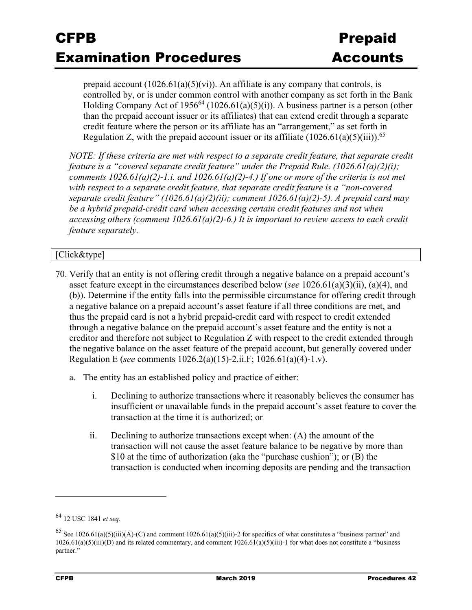prepaid account  $(1026.61(a)(5)(vi))$ . An affiliate is any company that controls, is controlled by, or is under common control with another company as set forth in the Bank Holding Company Act of 1956<sup>64</sup> (1026.61(a)(5)(i)). A business partner is a person (other than the prepaid account issuer or its affiliates) that can extend credit through a separate credit feature where the person or its affiliate has an "arrangement," as set forth in Regulation Z, with the prepaid account issuer or its affiliate  $(1026.61(a)(5)(iii))$ <sup>65</sup>

*NOTE: If these criteria are met with respect to a separate credit feature, that separate credit feature is a "covered separate credit feature" under the Prepaid Rule. (1026.61(a)(2)(i); comments 1026.61(a)(2)-1.i. and 1026.61(a)(2)-4.) If one or more of the criteria is not met with respect to a separate credit feature, that separate credit feature is a "non-covered separate credit feature" (1026.61(a)(2)(ii); comment 1026.61(a)(2)-5). A prepaid card may be a hybrid prepaid-credit card when accessing certain credit features and not when accessing others (comment 1026.61(a)(2)-6.) It is important to review access to each credit feature separately.* 

### [Click&type]

- 70. Verify that an entity is not offering credit through a negative balance on a prepaid account's asset feature except in the circumstances described below (*see* 1026.61(a)(3)(ii), (a)(4), and (b)). Determine if the entity falls into the permissible circumstance for offering credit through a negative balance on a prepaid account's asset feature if all three conditions are met, and thus the prepaid card is not a hybrid prepaid-credit card with respect to credit extended through a negative balance on the prepaid account's asset feature and the entity is not a creditor and therefore not subject to Regulation Z with respect to the credit extended through the negative balance on the asset feature of the prepaid account, but generally covered under Regulation E (*see* comments 1026.2(a)(15)-2.ii.F; 1026.61(a)(4)-1.v).
	- a. The entity has an established policy and practice of either:
		- i. Declining to authorize transactions where it reasonably believes the consumer has insufficient or unavailable funds in the prepaid account's asset feature to cover the transaction at the time it is authorized; or
		- ii. Declining to authorize transactions except when: (A) the amount of the transaction will not cause the asset feature balance to be negative by more than \$10 at the time of authorization (aka the "purchase cushion"); or (B) the transaction is conducted when incoming deposits are pending and the transaction

<sup>64 12</sup> USC 1841 *et seq.*

<sup>&</sup>lt;sup>65</sup> See 1026.61(a)(5)(iii)(A)-(C) and comment 1026.61(a)(5)(iii)-2 for specifics of what constitutes a "business partner" and  $1026.61(a)(5)(iii)(D)$  and its related commentary, and comment  $1026.61(a)(5)(iii)-1$  for what does not constitute a "business" partner."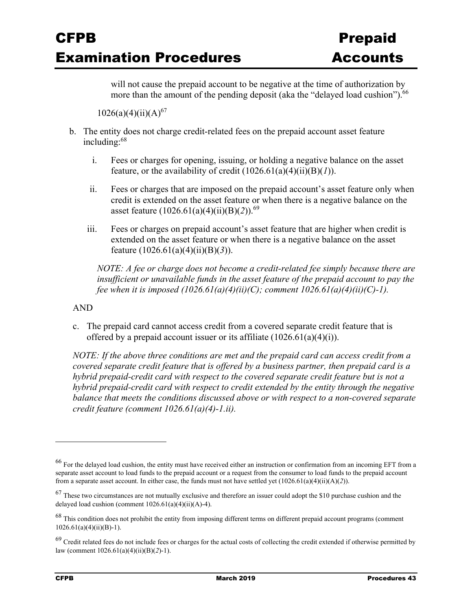will not cause the prepaid account to be negative at the time of authorization by more than the amount of the pending deposit (aka the "delayed load cushion").<sup>66</sup>

 $1026(a)(4)(ii)(A)^{67}$ 

- b. The entity does not charge credit-related fees on the prepaid account asset feature including:68
	- i. Fees or charges for opening, issuing, or holding a negative balance on the asset feature, or the availability of credit  $(1026.61(a)(4)(ii)(B)(*I*)).$
	- ii. Fees or charges that are imposed on the prepaid account's asset feature only when credit is extended on the asset feature or when there is a negative balance on the asset feature (1026.61(a)(4)(ii)(B)(*2*)).69
	- iii. Fees or charges on prepaid account's asset feature that are higher when credit is extended on the asset feature or when there is a negative balance on the asset feature (1026.61(a)(4)(ii)(B)(*3*)).

*NOTE: A fee or charge does not become a credit-related fee simply because there are insufficient or unavailable funds in the asset feature of the prepaid account to pay the fee when it is imposed (1026.61(a)(4)(ii)(C); comment 1026.61(a)(4)(ii)(C)-1).* 

#### AND

c. The prepaid card cannot access credit from a covered separate credit feature that is offered by a prepaid account issuer or its affiliate  $(1026.61(a)(4)(i))$ .

*NOTE: If the above three conditions are met and the prepaid card can access credit from a covered separate credit feature that is offered by a business partner, then prepaid card is a hybrid prepaid-credit card with respect to the covered separate credit feature but is not a hybrid prepaid-credit card with respect to credit extended by the entity through the negative balance that meets the conditions discussed above or with respect to a non-covered separate credit feature (comment 1026.61(a)(4)-1.ii).* 

<sup>66</sup> For the delayed load cushion, the entity must have received either an instruction or confirmation from an incoming EFT from a separate asset account to load funds to the prepaid account or a request from the consumer to load funds to the prepaid account from a separate asset account. In either case, the funds must not have settled yet (1026.61(a)(4)(ii)(A)(*2*)).

 $67$  These two circumstances are not mutually exclusive and therefore an issuer could adopt the \$10 purchase cushion and the delayed load cushion (comment  $1026.61(a)(4)(ii)(A)-4$ ).

<sup>68</sup> This condition does not prohibit the entity from imposing different terms on different prepaid account programs (comment  $1026.61(a)(4)(ii)(B)-1).$ 

 $69$  Credit related fees do not include fees or charges for the actual costs of collecting the credit extended if otherwise permitted by law (comment 1026.61(a)(4)(ii)(B)(*2*)-1).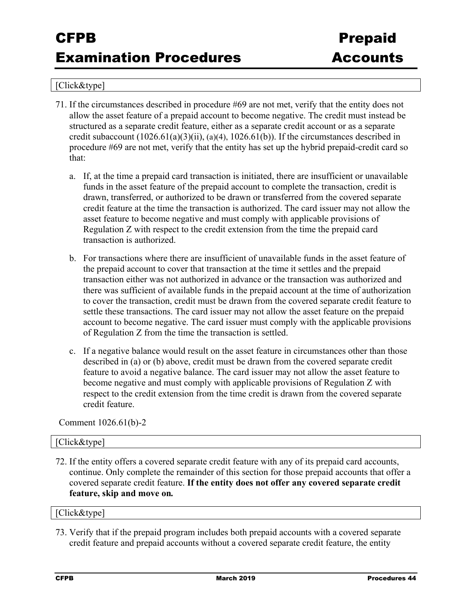#### [Click&type]

- 71. If the circumstances described in procedure #69 are not met, verify that the entity does not allow the asset feature of a prepaid account to become negative. The credit must instead be structured as a separate credit feature, either as a separate credit account or as a separate credit subaccount  $(1026.61(a)(3)(ii), (a)(4), 1026.61(b))$ . If the circumstances described in procedure #69 are not met, verify that the entity has set up the hybrid prepaid-credit card so that:
	- a. If, at the time a prepaid card transaction is initiated, there are insufficient or unavailable funds in the asset feature of the prepaid account to complete the transaction, credit is drawn, transferred, or authorized to be drawn or transferred from the covered separate credit feature at the time the transaction is authorized. The card issuer may not allow the asset feature to become negative and must comply with applicable provisions of Regulation Z with respect to the credit extension from the time the prepaid card transaction is authorized.
	- b. For transactions where there are insufficient of unavailable funds in the asset feature of the prepaid account to cover that transaction at the time it settles and the prepaid transaction either was not authorized in advance or the transaction was authorized and there was sufficient of available funds in the prepaid account at the time of authorization to cover the transaction, credit must be drawn from the covered separate credit feature to settle these transactions. The card issuer may not allow the asset feature on the prepaid account to become negative. The card issuer must comply with the applicable provisions of Regulation Z from the time the transaction is settled.
	- c. If a negative balance would result on the asset feature in circumstances other than those described in (a) or (b) above, credit must be drawn from the covered separate credit feature to avoid a negative balance. The card issuer may not allow the asset feature to become negative and must comply with applicable provisions of Regulation Z with respect to the credit extension from the time credit is drawn from the covered separate credit feature.

Comment 1026.61(b)-2

#### [Click&type]

72. If the entity offers a covered separate credit feature with any of its prepaid card accounts, continue. Only complete the remainder of this section for those prepaid accounts that offer a covered separate credit feature. **If the entity does not offer any covered separate credit feature, skip and move on***.*

### [Click&type]

73. Verify that if the prepaid program includes both prepaid accounts with a covered separate credit feature and prepaid accounts without a covered separate credit feature, the entity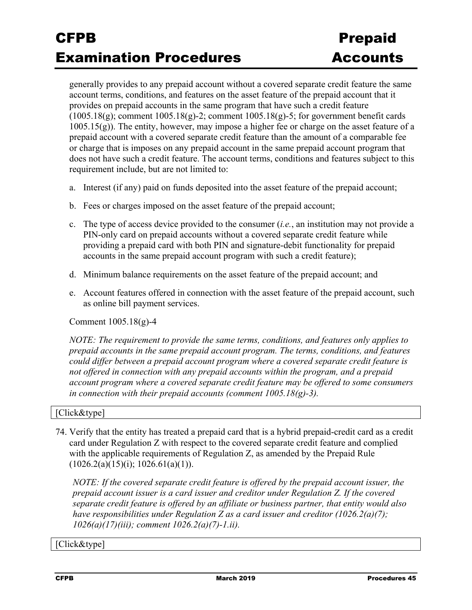generally provides to any prepaid account without a covered separate credit feature the same account terms, conditions, and features on the asset feature of the prepaid account that it provides on prepaid accounts in the same program that have such a credit feature  $(1005.18(g))$ ; comment  $1005.18(g)$ -2; comment  $1005.18(g)$ -5; for government benefit cards  $1005.15(g)$ ). The entity, however, may impose a higher fee or charge on the asset feature of a prepaid account with a covered separate credit feature than the amount of a comparable fee or charge that is imposes on any prepaid account in the same prepaid account program that does not have such a credit feature. The account terms, conditions and features subject to this requirement include, but are not limited to:

- a. Interest (if any) paid on funds deposited into the asset feature of the prepaid account;
- b. Fees or charges imposed on the asset feature of the prepaid account;
- c. The type of access device provided to the consumer (*i.e.*, an institution may not provide a PIN-only card on prepaid accounts without a covered separate credit feature while providing a prepaid card with both PIN and signature-debit functionality for prepaid accounts in the same prepaid account program with such a credit feature);
- d. Minimum balance requirements on the asset feature of the prepaid account; and
- e. Account features offered in connection with the asset feature of the prepaid account, such as online bill payment services.

Comment 1005.18(g)-4

*NOTE: The requirement to provide the same terms, conditions, and features only applies to prepaid accounts in the same prepaid account program. The terms, conditions, and features could differ between a prepaid account program where a covered separate credit feature is not offered in connection with any prepaid accounts within the program, and a prepaid account program where a covered separate credit feature may be offered to some consumers in connection with their prepaid accounts (comment 1005.18(g)-3).* 

#### [Click&type]

74. Verify that the entity has treated a prepaid card that is a hybrid prepaid-credit card as a credit card under Regulation Z with respect to the covered separate credit feature and complied with the applicable requirements of Regulation Z, as amended by the Prepaid Rule  $(1026.2(a)(15)(i); 1026.61(a)(1)).$ 

*NOTE: If the covered separate credit feature is offered by the prepaid account issuer, the prepaid account issuer is a card issuer and creditor under Regulation Z. If the covered separate credit feature is offered by an affiliate or business partner, that entity would also have responsibilities under Regulation Z as a card issuer and creditor (1026.2(a)(7); 1026(a)(17)(iii); comment 1026.2(a)(7)-1.ii).* 

[Click&type]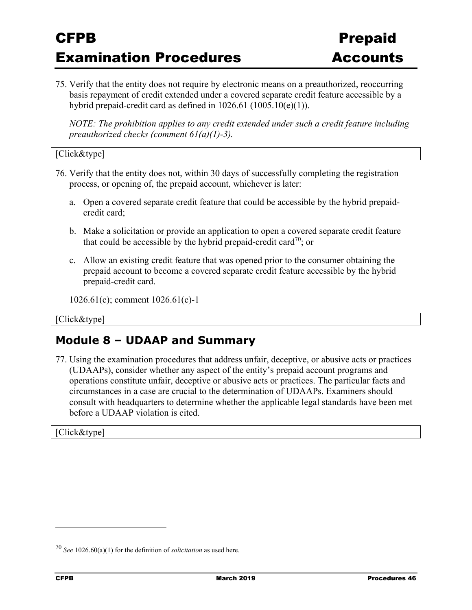75. Verify that the entity does not require by electronic means on a preauthorized, reoccurring basis repayment of credit extended under a covered separate credit feature accessible by a hybrid prepaid-credit card as defined in  $1026.61$  ( $1005.10(e)(1)$ ).

*NOTE: The prohibition applies to any credit extended under such a credit feature including preauthorized checks (comment 61(a)(1)-3).* 

```
[Click&type]
```
- 76. Verify that the entity does not, within 30 days of successfully completing the registration process, or opening of, the prepaid account, whichever is later:
	- a. Open a covered separate credit feature that could be accessible by the hybrid prepaidcredit card;
	- b. Make a solicitation or provide an application to open a covered separate credit feature that could be accessible by the hybrid prepaid-credit card<sup>70</sup>; or
	- c. Allow an existing credit feature that was opened prior to the consumer obtaining the prepaid account to become a covered separate credit feature accessible by the hybrid prepaid-credit card.

```
1026.61(c); comment 1026.61(c)-1
```
[Click&type]

### **Module 8 – UDAAP and Summary**

77. Using the examination procedures that address unfair, deceptive, or abusive acts or practices (UDAAPs), consider whether any aspect of the entity's prepaid account programs and operations constitute unfair, deceptive or abusive acts or practices. The particular facts and circumstances in a case are crucial to the determination of UDAAPs. Examiners should consult with headquarters to determine whether the applicable legal standards have been met before a UDAAP violation is cited.

[Click&type]

<sup>70</sup> *See* 1026.60(a)(1) for the definition of *solicitation* as used here.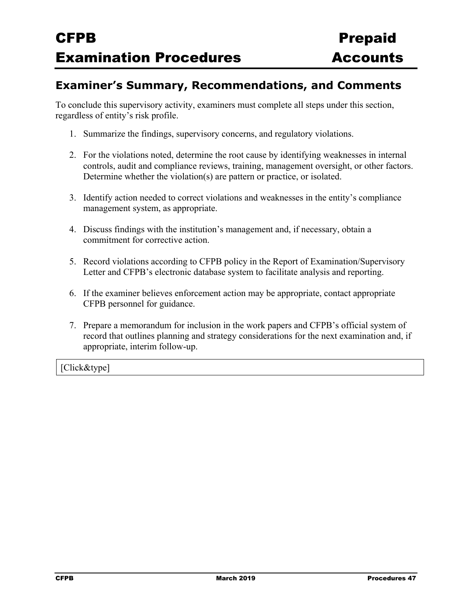### **Examiner's Summary, Recommendations, and Comments**

To conclude this supervisory activity, examiners must complete all steps under this section, regardless of entity's risk profile.

- 1. Summarize the findings, supervisory concerns, and regulatory violations.
- 2. For the violations noted, determine the root cause by identifying weaknesses in internal controls, audit and compliance reviews, training, management oversight, or other factors. Determine whether the violation(s) are pattern or practice, or isolated.
- 3. Identify action needed to correct violations and weaknesses in the entity's compliance management system, as appropriate.
- 4. Discuss findings with the institution's management and, if necessary, obtain a commitment for corrective action.
- 5. Record violations according to CFPB policy in the Report of Examination/Supervisory Letter and CFPB's electronic database system to facilitate analysis and reporting.
- 6. If the examiner believes enforcement action may be appropriate, contact appropriate CFPB personnel for guidance.
- 7. Prepare a memorandum for inclusion in the work papers and CFPB's official system of record that outlines planning and strategy considerations for the next examination and, if appropriate, interim follow-up.

[Click&type]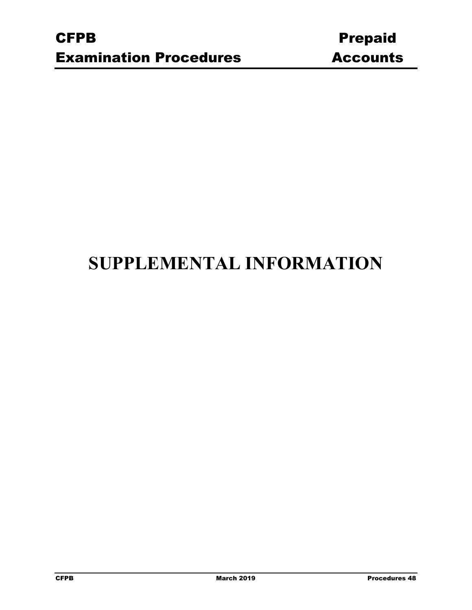# **SUPPLEMENTAL INFORMATION**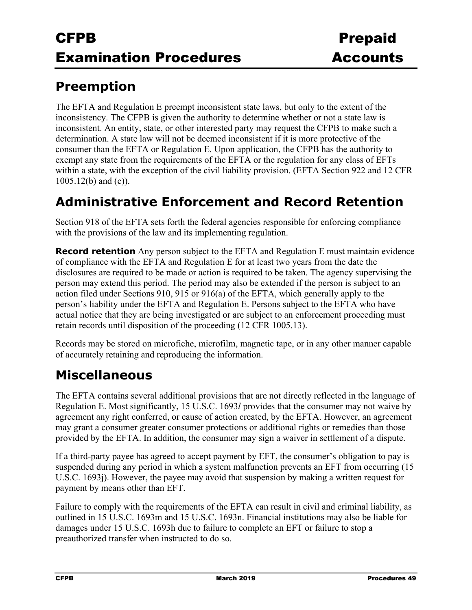## **Preemption**

The EFTA and Regulation E preempt inconsistent state laws, but only to the extent of the inconsistency. The CFPB is given the authority to determine whether or not a state law is inconsistent. An entity, state, or other interested party may request the CFPB to make such a determination. A state law will not be deemed inconsistent if it is more protective of the consumer than the EFTA or Regulation E. Upon application, the CFPB has the authority to exempt any state from the requirements of the EFTA or the regulation for any class of EFTs within a state, with the exception of the civil liability provision. (EFTA Section 922 and 12 CFR 1005.12(b) and (c)).

## **Administrative Enforcement and Record Retention**

Section 918 of the EFTA sets forth the federal agencies responsible for enforcing compliance with the provisions of the law and its implementing regulation.

**Record retention** Any person subject to the EFTA and Regulation E must maintain evidence of compliance with the EFTA and Regulation E for at least two years from the date the disclosures are required to be made or action is required to be taken. The agency supervising the person may extend this period. The period may also be extended if the person is subject to an action filed under Sections 910, 915 or 916(a) of the EFTA, which generally apply to the person's liability under the EFTA and Regulation E. Persons subject to the EFTA who have actual notice that they are being investigated or are subject to an enforcement proceeding must retain records until disposition of the proceeding (12 CFR 1005.13).

Records may be stored on microfiche, microfilm, magnetic tape, or in any other manner capable of accurately retaining and reproducing the information.

## **Miscellaneous**

The EFTA contains several additional provisions that are not directly reflected in the language of Regulation E. Most significantly, 15 U.S.C. 1693*l* provides that the consumer may not waive by agreement any right conferred, or cause of action created, by the EFTA. However, an agreement may grant a consumer greater consumer protections or additional rights or remedies than those provided by the EFTA. In addition, the consumer may sign a waiver in settlement of a dispute.

If a third-party payee has agreed to accept payment by EFT, the consumer's obligation to pay is suspended during any period in which a system malfunction prevents an EFT from occurring (15 U.S.C. 1693j). However, the payee may avoid that suspension by making a written request for payment by means other than EFT.

Failure to comply with the requirements of the EFTA can result in civil and criminal liability, as outlined in 15 U.S.C. 1693m and 15 U.S.C. 1693n. Financial institutions may also be liable for damages under 15 U.S.C. 1693h due to failure to complete an EFT or failure to stop a preauthorized transfer when instructed to do so.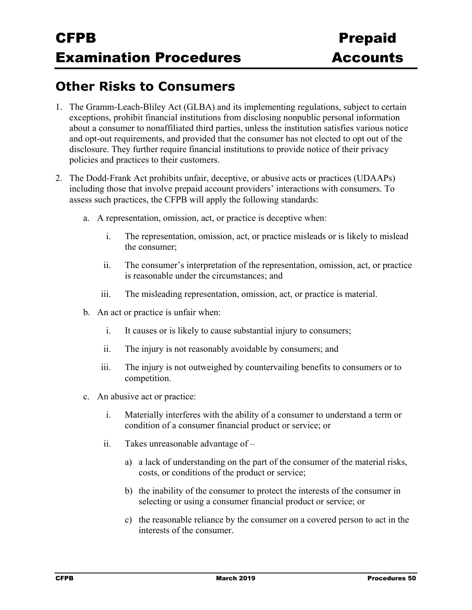## **Other Risks to Consumers**

- 1. The Gramm-Leach-Bliley Act (GLBA) and its implementing regulations, subject to certain exceptions, prohibit financial institutions from disclosing nonpublic personal information about a consumer to nonaffiliated third parties, unless the institution satisfies various notice and opt-out requirements, and provided that the consumer has not elected to opt out of the disclosure. They further require financial institutions to provide notice of their privacy policies and practices to their customers.
- 2. The Dodd-Frank Act prohibits unfair, deceptive, or abusive acts or practices (UDAAPs) including those that involve prepaid account providers' interactions with consumers. To assess such practices, the CFPB will apply the following standards:
	- a. A representation, omission, act, or practice is deceptive when:
		- i. The representation, omission, act, or practice misleads or is likely to mislead the consumer;
		- ii. The consumer's interpretation of the representation, omission, act, or practice is reasonable under the circumstances; and
		- iii. The misleading representation, omission, act, or practice is material.
	- b. An act or practice is unfair when:
		- i. It causes or is likely to cause substantial injury to consumers;
		- ii. The injury is not reasonably avoidable by consumers; and
		- iii. The injury is not outweighed by countervailing benefits to consumers or to competition.
	- c. An abusive act or practice:
		- i. Materially interferes with the ability of a consumer to understand a term or condition of a consumer financial product or service; or
		- ii. Takes unreasonable advantage of
			- a) a lack of understanding on the part of the consumer of the material risks, costs, or conditions of the product or service;
			- b) the inability of the consumer to protect the interests of the consumer in selecting or using a consumer financial product or service; or
			- c) the reasonable reliance by the consumer on a covered person to act in the interests of the consumer.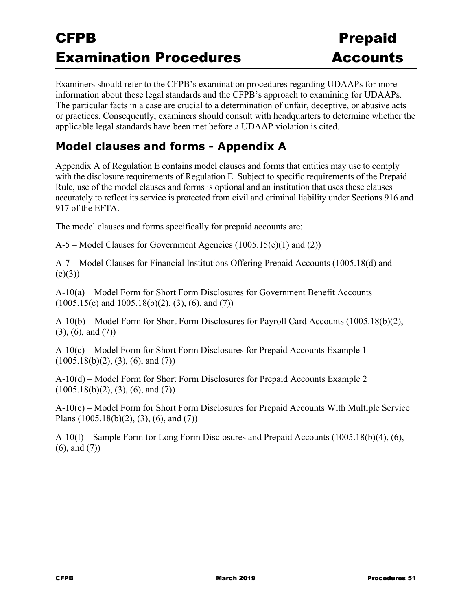Examiners should refer to the CFPB's examination procedures regarding UDAAPs for more information about these legal standards and the CFPB's approach to examining for UDAAPs. The particular facts in a case are crucial to a determination of unfair, deceptive, or abusive acts or practices. Consequently, examiners should consult with headquarters to determine whether the applicable legal standards have been met before a UDAAP violation is cited.

### **Model clauses and forms - Appendix A**

Appendix A of Regulation E contains model clauses and forms that entities may use to comply with the disclosure requirements of Regulation E. Subject to specific requirements of the Prepaid Rule, use of the model clauses and forms is optional and an institution that uses these clauses accurately to reflect its service is protected from civil and criminal liability under Sections 916 and 917 of the EFTA.

The model clauses and forms specifically for prepaid accounts are:

A-5 – Model Clauses for Government Agencies (1005.15(e)(1) and (2))

A-7 – Model Clauses for Financial Institutions Offering Prepaid Accounts (1005.18(d) and  $(e)(3)$ 

A-10(a) – Model Form for Short Form Disclosures for Government Benefit Accounts  $(1005.15(c)$  and  $1005.18(b)(2)$ ,  $(3)$ ,  $(6)$ , and  $(7)$ )

A-10(b) – Model Form for Short Form Disclosures for Payroll Card Accounts (1005.18(b)(2), (3), (6), and (7))

A-10(c) – Model Form for Short Form Disclosures for Prepaid Accounts Example 1  $(1005.18(b)(2), (3), (6), and (7))$ 

A-10(d) – Model Form for Short Form Disclosures for Prepaid Accounts Example 2  $(1005.18(b)(2), (3), (6), and (7))$ 

A-10(e) – Model Form for Short Form Disclosures for Prepaid Accounts With Multiple Service Plans (1005.18(b)(2), (3), (6), and (7))

A-10(f) – Sample Form for Long Form Disclosures and Prepaid Accounts (1005.18(b)(4), (6), (6), and (7))